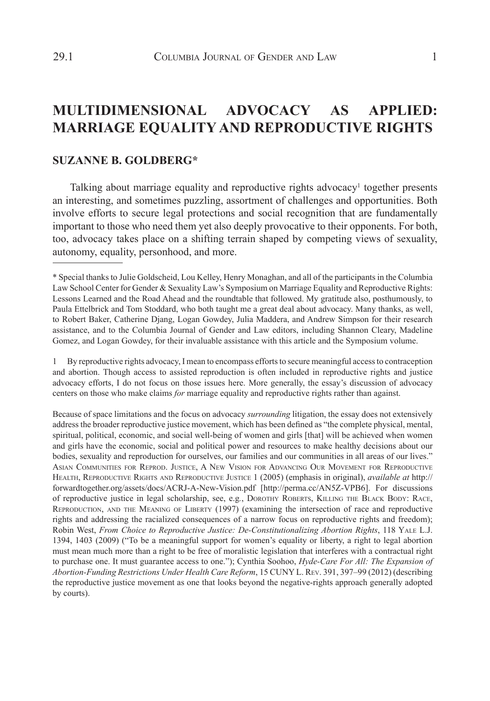# **MULTIDIMENSIONAL ADVOCACY AS APPLIED: MARRIAGE EQUALITY AND REPRODUCTIVE RIGHTS**

# **SUZANNE B. GOLDBERG\***

Talking about marriage equality and reproductive rights advocacy<sup>1</sup> together presents an interesting, and sometimes puzzling, assortment of challenges and opportunities. Both involve efforts to secure legal protections and social recognition that are fundamentally important to those who need them yet also deeply provocative to their opponents. For both, too, advocacy takes place on a shifting terrain shaped by competing views of sexuality, autonomy, equality, personhood, and more.

1 By reproductive rights advocacy, I mean to encompass efforts to secure meaningful access to contraception and abortion. Though access to assisted reproduction is often included in reproductive rights and justice advocacy efforts, I do not focus on those issues here. More generally, the essay's discussion of advocacy centers on those who make claims *for* marriage equality and reproductive rights rather than against.

Because of space limitations and the focus on advocacy *surrounding* litigation, the essay does not extensively address the broader reproductive justice movement, which has been defined as "the complete physical, mental, spiritual, political, economic, and social well-being of women and girls [that] will be achieved when women and girls have the economic, social and political power and resources to make healthy decisions about our bodies, sexuality and reproduction for ourselves, our families and our communities in all areas of our lives." Asian Communities for Reprod. Justice, A New Vision for Advancing Our Movement for Reproductive Health, Reproductive Rights and Reproductive Justice 1 (2005) (emphasis in original), *available at* http:// forwardtogether.org/assets/docs/ACRJ-A-New-Vision.pdf [http://perma.cc/AN5Z-VPB6]. For discussions of reproductive justice in legal scholarship, see, e.g*.*, Dorothy Roberts, Killing the Black Body: Race, REPRODUCTION, AND THE MEANING OF LIBERTY (1997) (examining the intersection of race and reproductive rights and addressing the racialized consequences of a narrow focus on reproductive rights and freedom); Robin West, *From Choice to Reproductive Justice: De-Constitutionalizing Abortion Rights*, 118 Yale L.J. 1394, 1403 (2009) ("To be a meaningful support for women's equality or liberty, a right to legal abortion must mean much more than a right to be free of moralistic legislation that interferes with a contractual right to purchase one. It must guarantee access to one."); Cynthia Soohoo, *Hyde-Care For All: The Expansion of Abortion-Funding Restrictions Under Health Care Reform*, 15 CUNY L. Rev. 391, 397–99 (2012) (describing the reproductive justice movement as one that looks beyond the negative-rights approach generally adopted by courts).

<sup>\*</sup> Special thanks to Julie Goldscheid, Lou Kelley, Henry Monaghan, and all of the participants in the Columbia Law School Center for Gender & Sexuality Law's Symposium on Marriage Equality and Reproductive Rights: Lessons Learned and the Road Ahead and the roundtable that followed. My gratitude also, posthumously, to Paula Ettelbrick and Tom Stoddard, who both taught me a great deal about advocacy. Many thanks, as well, to Robert Baker, Catherine Djang, Logan Gowdey, Julia Maddera, and Andrew Simpson for their research assistance, and to the Columbia Journal of Gender and Law editors, including Shannon Cleary, Madeline Gomez, and Logan Gowdey, for their invaluable assistance with this article and the Symposium volume.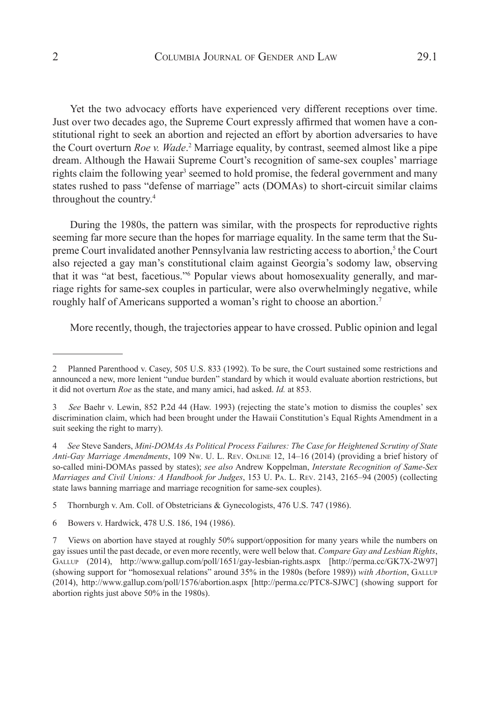Yet the two advocacy efforts have experienced very different receptions over time. Just over two decades ago, the Supreme Court expressly affirmed that women have a constitutional right to seek an abortion and rejected an effort by abortion adversaries to have the Court overturn *Roe v. Wade*. 2 Marriage equality, by contrast, seemed almost like a pipe dream. Although the Hawaii Supreme Court's recognition of same-sex couples' marriage rights claim the following year<sup>3</sup> seemed to hold promise, the federal government and many states rushed to pass "defense of marriage" acts (DOMAs) to short-circuit similar claims throughout the country.4

During the 1980s, the pattern was similar, with the prospects for reproductive rights seeming far more secure than the hopes for marriage equality. In the same term that the Supreme Court invalidated another Pennsylvania law restricting access to abortion,<sup>5</sup> the Court also rejected a gay man's constitutional claim against Georgia's sodomy law, observing that it was "at best, facetious."6 Popular views about homosexuality generally, and marriage rights for same-sex couples in particular, were also overwhelmingly negative, while roughly half of Americans supported a woman's right to choose an abortion.7

More recently, though, the trajectories appear to have crossed. Public opinion and legal

<sup>2</sup> Planned Parenthood v. Casey, 505 U.S. 833 (1992). To be sure, the Court sustained some restrictions and announced a new, more lenient "undue burden" standard by which it would evaluate abortion restrictions, but it did not overturn *Roe* as the state, and many amici, had asked. *Id.* at 853.

<sup>3</sup> *See* Baehr v. Lewin, 852 P.2d 44 (Haw. 1993) (rejecting the state's motion to dismiss the couples' sex discrimination claim, which had been brought under the Hawaii Constitution's Equal Rights Amendment in a suit seeking the right to marry).

<sup>4</sup> *See* Steve Sanders, *Mini-DOMAs As Political Process Failures: The Case for Heightened Scrutiny of State Anti-Gay Marriage Amendments*, 109 Nw. U. L. Rev. Online 12, 14–16 (2014) (providing a brief history of so-called mini-DOMAs passed by states); *see also* Andrew Koppelman, *Interstate Recognition of Same-Sex Marriages and Civil Unions: A Handbook for Judges*, 153 U. Pa. L. Rev. 2143, 2165–94 (2005) (collecting state laws banning marriage and marriage recognition for same-sex couples).

<sup>5</sup> Thornburgh v. Am. Coll. of Obstetricians & Gynecologists, 476 U.S. 747 (1986).

<sup>6</sup> Bowers v. Hardwick, 478 U.S. 186, 194 (1986).

<sup>7</sup> Views on abortion have stayed at roughly 50% support/opposition for many years while the numbers on gay issues until the past decade, or even more recently, were well below that. *Compare Gay and Lesbian Rights*, Gallup (2014), http://www.gallup.com/poll/1651/gay-lesbian-rights.aspx [http://perma.cc/GK7X-2W97] (showing support for "homosexual relations" around 35% in the 1980s (before 1989)) *with Abortion*, Gallup (2014), http://www.gallup.com/poll/1576/abortion.aspx [http://perma.cc/PTC8-SJWC] (showing support for abortion rights just above 50% in the 1980s).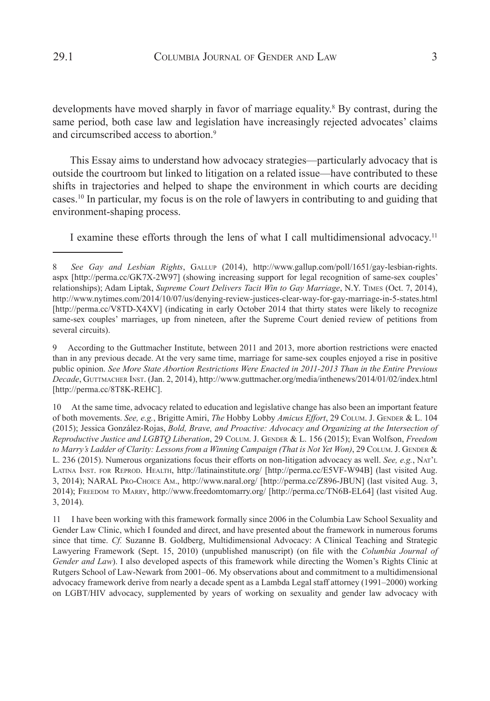developments have moved sharply in favor of marriage equality.<sup>8</sup> By contrast, during the same period, both case law and legislation have increasingly rejected advocates' claims and circumscribed access to abortion.<sup>9</sup>

This Essay aims to understand how advocacy strategies—particularly advocacy that is outside the courtroom but linked to litigation on a related issue—have contributed to these shifts in trajectories and helped to shape the environment in which courts are deciding cases.10 In particular, my focus is on the role of lawyers in contributing to and guiding that environment-shaping process.

I examine these efforts through the lens of what I call multidimensional advocacy.11

9 According to the Guttmacher Institute, between 2011 and 2013, more abortion restrictions were enacted than in any previous decade. At the very same time, marriage for same-sex couples enjoyed a rise in positive public opinion. *See More State Abortion Restrictions Were Enacted in 2011-2013 Than in the Entire Previous*  Decade, GUTTMACHER INST. (Jan. 2, 2014), http://www.guttmacher.org/media/inthenews/2014/01/02/index.html [http://perma.cc/8T8K-REHC].

10 At the same time, advocacy related to education and legislative change has also been an important feature of both movements. *See, e.g.*, Brigitte Amiri, *The* Hobby Lobby *Amicus Effort*, 29 Colum. J. Gender & L. 104 (2015); Jessica González-Rojas, *Bold, Brave, and Proactive: Advocacy and Organizing at the Intersection of Reproductive Justice and LGBTQ Liberation*, 29 Colum. J. Gender & L. 156 (2015); Evan Wolfson, *Freedom*  to Marry's Ladder of Clarity: Lessons from a Winning Campaign (That is Not Yet Won), 29 COLUM. J. GENDER & L. 236 (2015). Numerous organizations focus their efforts on non-litigation advocacy as well. *See, e.g.*, Nat'l Latina Inst. for Reprod. Health, http://latinainstitute.org/ [http://perma.cc/E5VF-W94B] (last visited Aug. 3, 2014); NARAL Pro-Choice Am., http://www.naral.org/ [http://perma.cc/Z896-JBUN] (last visited Aug. 3, 2014); Freedom to Marry, http://www.freedomtomarry.org/ [http://perma.cc/TN6B-EL64] (last visited Aug. 3, 2014).

11 I have been working with this framework formally since 2006 in the Columbia Law School Sexuality and Gender Law Clinic, which I founded and direct, and have presented about the framework in numerous forums since that time. *Cf.* Suzanne B. Goldberg, Multidimensional Advocacy: A Clinical Teaching and Strategic Lawyering Framework (Sept. 15, 2010) (unpublished manuscript) (on file with the *Columbia Journal of Gender and Law*). I also developed aspects of this framework while directing the Women's Rights Clinic at Rutgers School of Law-Newark from 2001–06. My observations about and commitment to a multidimensional advocacy framework derive from nearly a decade spent as a Lambda Legal staff attorney (1991–2000) working on LGBT/HIV advocacy, supplemented by years of working on sexuality and gender law advocacy with

<sup>8</sup> *See Gay and Lesbian Rights*, Gallup (2014), http://www.gallup.com/poll/1651/gay-lesbian-rights. aspx [http://perma.cc/GK7X-2W97] (showing increasing support for legal recognition of same-sex couples' relationships); Adam Liptak, *Supreme Court Delivers Tacit Win to Gay Marriage*, N.Y. Times (Oct. 7, 2014), http://www.nytimes.com/2014/10/07/us/denying-review-justices-clear-way-for-gay-marriage-in-5-states.html [http://perma.cc/V8TD-X4XV] (indicating in early October 2014 that thirty states were likely to recognize same-sex couples' marriages, up from nineteen, after the Supreme Court denied review of petitions from several circuits).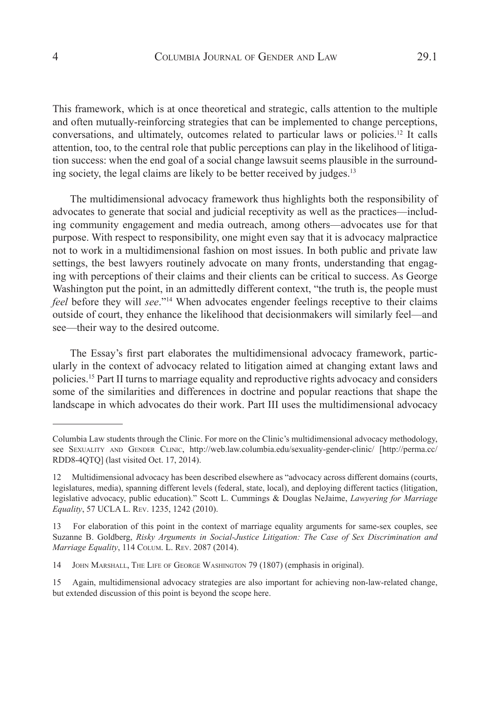This framework, which is at once theoretical and strategic, calls attention to the multiple and often mutually-reinforcing strategies that can be implemented to change perceptions, conversations, and ultimately, outcomes related to particular laws or policies.12 It calls attention, too, to the central role that public perceptions can play in the likelihood of litigation success: when the end goal of a social change lawsuit seems plausible in the surrounding society, the legal claims are likely to be better received by judges.13

The multidimensional advocacy framework thus highlights both the responsibility of advocates to generate that social and judicial receptivity as well as the practices—including community engagement and media outreach, among others—advocates use for that purpose. With respect to responsibility, one might even say that it is advocacy malpractice not to work in a multidimensional fashion on most issues. In both public and private law settings, the best lawyers routinely advocate on many fronts, understanding that engaging with perceptions of their claims and their clients can be critical to success. As George Washington put the point, in an admittedly different context, "the truth is, the people must *feel* before they will *see*."14 When advocates engender feelings receptive to their claims outside of court, they enhance the likelihood that decisionmakers will similarly feel—and see—their way to the desired outcome.

The Essay's first part elaborates the multidimensional advocacy framework, particularly in the context of advocacy related to litigation aimed at changing extant laws and policies.15 Part II turns to marriage equality and reproductive rights advocacy and considers some of the similarities and differences in doctrine and popular reactions that shape the landscape in which advocates do their work. Part III uses the multidimensional advocacy

Columbia Law students through the Clinic. For more on the Clinic's multidimensional advocacy methodology, see Sexuality and Gender Clinic, http://web.law.columbia.edu/sexuality-gender-clinic/ [http://perma.cc/ RDD8-4QTQ] (last visited Oct. 17, 2014).

<sup>12</sup> Multidimensional advocacy has been described elsewhere as "advocacy across different domains (courts, legislatures, media), spanning different levels (federal, state, local), and deploying different tactics (litigation, legislative advocacy, public education)." Scott L. Cummings & Douglas NeJaime, *Lawyering for Marriage Equality*, 57 UCLA L. Rev. 1235, 1242 (2010).

<sup>13</sup> For elaboration of this point in the context of marriage equality arguments for same-sex couples, see Suzanne B. Goldberg, *Risky Arguments in Social-Justice Litigation: The Case of Sex Discrimination and Marriage Equality*, 114 Colum. L. Rev. 2087 (2014).

<sup>14</sup> JOHN MARSHALL, THE LIFE OF GEORGE WASHINGTON 79 (1807) (emphasis in original).

<sup>15</sup> Again, multidimensional advocacy strategies are also important for achieving non-law-related change, but extended discussion of this point is beyond the scope here.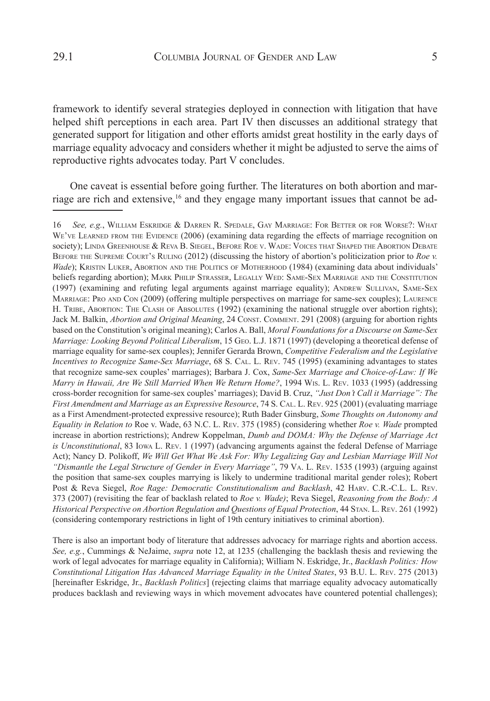framework to identify several strategies deployed in connection with litigation that have helped shift perceptions in each area. Part IV then discusses an additional strategy that generated support for litigation and other efforts amidst great hostility in the early days of marriage equality advocacy and considers whether it might be adjusted to serve the aims of reproductive rights advocates today. Part V concludes.

One caveat is essential before going further. The literatures on both abortion and marriage are rich and extensive,<sup>16</sup> and they engage many important issues that cannot be ad-

There is also an important body of literature that addresses advocacy for marriage rights and abortion access. *See, e.g.*, Cummings & NeJaime, *supra* note 12, at 1235 (challenging the backlash thesis and reviewing the work of legal advocates for marriage equality in California); William N. Eskridge, Jr., *Backlash Politics: How Constitutional Litigation Has Advanced Marriage Equality in the United States*, 93 B.U. L. Rev. 275 (2013) [hereinafter Eskridge, Jr., *Backlash Politics*] (rejecting claims that marriage equality advocacy automatically produces backlash and reviewing ways in which movement advocates have countered potential challenges);

<sup>16</sup> *See, e.g.*, William Eskridge & Darren R. Spedale, Gay Marriage: For Better or for Worse?: What WE'VE LEARNED FROM THE EVIDENCE (2006) (examining data regarding the effects of marriage recognition on society); LINDA GREENHOUSE & REVA B. SIEGEL, BEFORE ROE V. WADE: VOICES THAT SHAPED THE ABORTION DEBATE Before the Supreme Court's Ruling (2012) (discussing the history of abortion's politicization prior to *Roe v. Wade*); KRISTIN LUKER, ABORTION AND THE POLITICS OF MOTHERHOOD (1984) (examining data about individuals' beliefs regarding abortion); Mark Philip Strasser, Legally Wed: Same-Sex Marriage and the Constitution (1997) (examining and refuting legal arguments against marriage equality); ANDREW SULLIVAN, SAME-SEX Marriage: Pro and Con (2009) (offering multiple perspectives on marriage for same-sex couples); Laurence H. TRIBE, ABORTION: THE CLASH OF ABSOLUTES (1992) (examining the national struggle over abortion rights); Jack M. Balkin, *Abortion and Original Meaning*, 24 CONST. COMMENT. 291 (2008) (arguing for abortion rights based on the Constitution's original meaning); Carlos A. Ball, *Moral Foundations for a Discourse on Same-Sex Marriage: Looking Beyond Political Liberalism*, 15 Geo. L.J. 1871 (1997) (developing a theoretical defense of marriage equality for same-sex couples); Jennifer Gerarda Brown, *Competitive Federalism and the Legislative Incentives to Recognize Same-Sex Marriage*, 68 S. Cal. L. Rev. 745 (1995) (examining advantages to states that recognize same-sex couples' marriages); Barbara J. Cox, *Same-Sex Marriage and Choice-of-Law: If We Marry in Hawaii, Are We Still Married When We Return Home?*, 1994 Wis. L. Rev. 1033 (1995) (addressing cross-border recognition for same-sex couples' marriages); David B. Cruz, *"Just Don't Call it Marriage": The First Amendment and Marriage as an Expressive Resource*, 74 S. Cal. L. Rev. 925 (2001) (evaluating marriage as a First Amendment-protected expressive resource); Ruth Bader Ginsburg, *Some Thoughts on Autonomy and Equality in Relation to* Roe v. Wade, 63 N.C. L. Rev. 375 (1985) (considering whether *Roe v. Wade* prompted increase in abortion restrictions); Andrew Koppelman, *Dumb and DOMA: Why the Defense of Marriage Act is Unconstitutional*, 83 Iowa L. Rev. 1 (1997) (advancing arguments against the federal Defense of Marriage Act); Nancy D. Polikoff, *We Will Get What We Ask For: Why Legalizing Gay and Lesbian Marriage Will Not "Dismantle the Legal Structure of Gender in Every Marriage"*, 79 Va. L. Rev. 1535 (1993) (arguing against the position that same-sex couples marrying is likely to undermine traditional marital gender roles); Robert Post & Reva Siegel, *Roe Rage: Democratic Constitutionalism and Backlash*, 42 Harv. C.R.-C.L. L. Rev. 373 (2007) (revisiting the fear of backlash related to *Roe v. Wade)*; Reva Siegel, *Reasoning from the Body: A Historical Perspective on Abortion Regulation and Questions of Equal Protection*, 44 Stan. L. Rev. 261 (1992) (considering contemporary restrictions in light of 19th century initiatives to criminal abortion).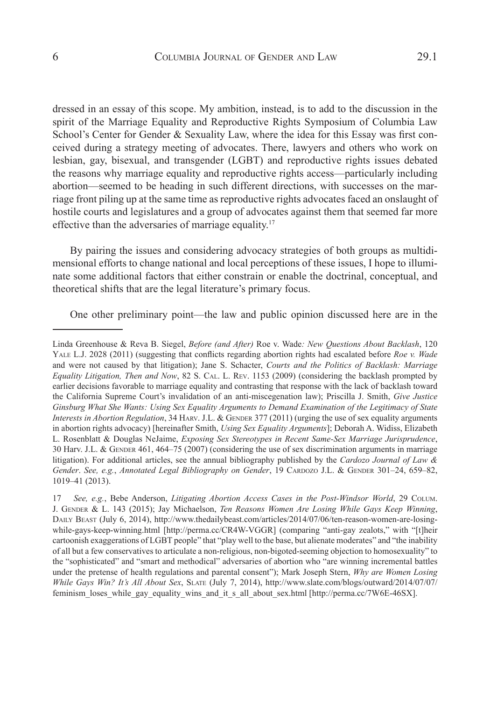dressed in an essay of this scope. My ambition, instead, is to add to the discussion in the spirit of the Marriage Equality and Reproductive Rights Symposium of Columbia Law School's Center for Gender & Sexuality Law, where the idea for this Essay was first conceived during a strategy meeting of advocates. There, lawyers and others who work on lesbian, gay, bisexual, and transgender (LGBT) and reproductive rights issues debated the reasons why marriage equality and reproductive rights access—particularly including abortion—seemed to be heading in such different directions, with successes on the marriage front piling up at the same time as reproductive rights advocates faced an onslaught of hostile courts and legislatures and a group of advocates against them that seemed far more effective than the adversaries of marriage equality.<sup>17</sup>

By pairing the issues and considering advocacy strategies of both groups as multidimensional efforts to change national and local perceptions of these issues, I hope to illuminate some additional factors that either constrain or enable the doctrinal, conceptual, and theoretical shifts that are the legal literature's primary focus.

One other preliminary point—the law and public opinion discussed here are in the

Linda Greenhouse & Reva B. Siegel, *Before (and After)* Roe v. Wade*: New Questions About Backlash*, 120 YALE L.J. 2028 (2011) (suggesting that conflicts regarding abortion rights had escalated before *Roe v. Wade* and were not caused by that litigation); Jane S. Schacter, *Courts and the Politics of Backlash: Marriage Equality Litigation, Then and Now*, 82 S. Cal. L. Rev. 1153 (2009) (considering the backlash prompted by earlier decisions favorable to marriage equality and contrasting that response with the lack of backlash toward the California Supreme Court's invalidation of an anti-miscegenation law); Priscilla J. Smith, *Give Justice Ginsburg What She Wants: Using Sex Equality Arguments to Demand Examination of the Legitimacy of State Interests in Abortion Regulation*, 34 HARV. J.L. & GENDER 377 (2011) (urging the use of sex equality arguments in abortion rights advocacy) [hereinafter Smith, *Using Sex Equality Arguments*]; Deborah A. Widiss, Elizabeth L. Rosenblatt & Douglas NeJaime, *Exposing Sex Stereotypes in Recent Same-Sex Marriage Jurisprudence*, 30 Harv. J.L. & GENDER 461, 464–75 (2007) (considering the use of sex discrimination arguments in marriage litigation). For additional articles, see the annual bibliography published by the *Cardozo Journal of Law &*  Gender. See, e.g., *Annotated Legal Bibliography on Gender*, 19 CARDOZO J.L. & GENDER 301-24, 659-82, 1019–41 (2013).

<sup>17</sup> *See, e.g.*, Bebe Anderson, *Litigating Abortion Access Cases in the Post-Windsor World*, 29 Colum. J. Gender & L. 143 (2015); Jay Michaelson, *Ten Reasons Women Are Losing While Gays Keep Winning*, DAILY BEAST (July 6, 2014), http://www.thedailybeast.com/articles/2014/07/06/ten-reason-women-are-losingwhile-gays-keep-winning.html [http://perma.cc/CR4W-VGGR] (comparing "anti-gay zealots," with "[t]heir cartoonish exaggerations of LGBT people" that "play well to the base, but alienate moderates" and "the inability of all but a few conservatives to articulate a non-religious, non-bigoted-seeming objection to homosexuality" to the "sophisticated" and "smart and methodical" adversaries of abortion who "are winning incremental battles under the pretense of health regulations and parental consent"); Mark Joseph Stern, *Why are Women Losing While Gays Win? It's All About Sex*, Slate (July 7, 2014), http://www.slate.com/blogs/outward/2014/07/07/ feminism\_loses\_while\_gay\_equality\_wins\_and\_it\_s\_all\_about\_sex.html [http://perma.cc/7W6E-46SX].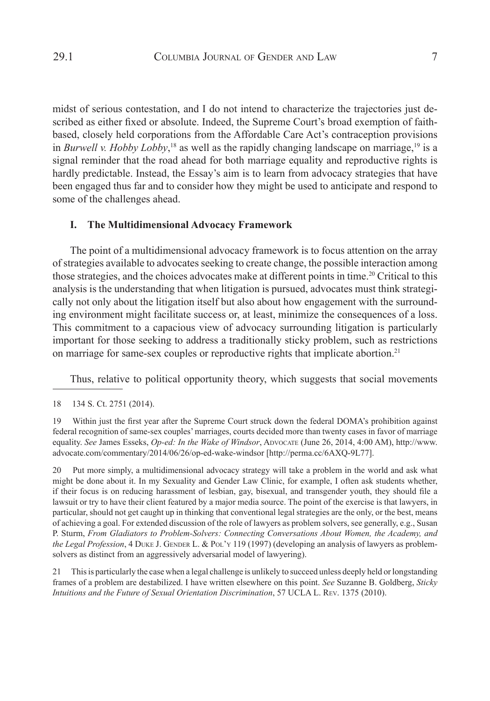midst of serious contestation, and I do not intend to characterize the trajectories just described as either fixed or absolute. Indeed, the Supreme Court's broad exemption of faithbased, closely held corporations from the Affordable Care Act's contraception provisions in *Burwell v. Hobby Lobby*, <sup>18</sup> as well as the rapidly changing landscape on marriage,19 is a signal reminder that the road ahead for both marriage equality and reproductive rights is hardly predictable. Instead, the Essay's aim is to learn from advocacy strategies that have been engaged thus far and to consider how they might be used to anticipate and respond to some of the challenges ahead.

## **I. The Multidimensional Advocacy Framework**

The point of a multidimensional advocacy framework is to focus attention on the array of strategies available to advocates seeking to create change, the possible interaction among those strategies, and the choices advocates make at different points in time.20 Critical to this analysis is the understanding that when litigation is pursued, advocates must think strategically not only about the litigation itself but also about how engagement with the surrounding environment might facilitate success or, at least, minimize the consequences of a loss. This commitment to a capacious view of advocacy surrounding litigation is particularly important for those seeking to address a traditionally sticky problem, such as restrictions on marriage for same-sex couples or reproductive rights that implicate abortion.<sup>21</sup>

Thus, relative to political opportunity theory, which suggests that social movements

20 Put more simply, a multidimensional advocacy strategy will take a problem in the world and ask what might be done about it. In my Sexuality and Gender Law Clinic, for example, I often ask students whether, if their focus is on reducing harassment of lesbian, gay, bisexual, and transgender youth, they should file a lawsuit or try to have their client featured by a major media source. The point of the exercise is that lawyers, in particular, should not get caught up in thinking that conventional legal strategies are the only, or the best, means of achieving a goal. For extended discussion of the role of lawyers as problem solvers, see generally, e.g., Susan P. Sturm, *From Gladiators to Problem-Solvers: Connecting Conversations About Women, the Academy, and the Legal Profession*, 4 DUKE J. GENDER L. & POL'Y 119 (1997) (developing an analysis of lawyers as problemsolvers as distinct from an aggressively adversarial model of lawyering).

21 This is particularly the case when a legal challenge is unlikely to succeed unless deeply held or longstanding frames of a problem are destabilized. I have written elsewhere on this point. *See* Suzanne B. Goldberg, *Sticky Intuitions and the Future of Sexual Orientation Discrimination*, 57 UCLA L. Rev. 1375 (2010).

<sup>18 134</sup> S. Ct. 2751 (2014).

<sup>19</sup> Within just the first year after the Supreme Court struck down the federal DOMA's prohibition against federal recognition of same-sex couples' marriages, courts decided more than twenty cases in favor of marriage equality. *See* James Esseks, *Op-ed: In the Wake of Windsor*, Advocate (June 26, 2014, 4:00 AM), http://www. advocate.com/commentary/2014/06/26/op-ed-wake-windsor [http://perma.cc/6AXQ-9L77].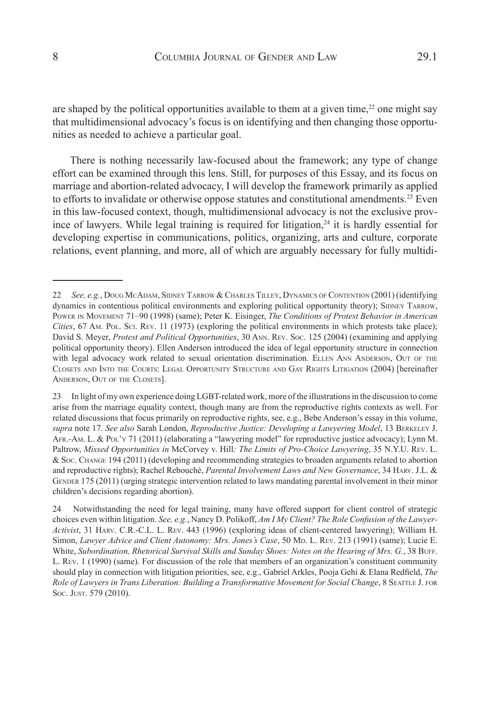are shaped by the political opportunities available to them at a given time, $2<sup>2</sup>$  one might say that multidimensional advocacy's focus is on identifying and then changing those opportunities as needed to achieve a particular goal.

There is nothing necessarily law-focused about the framework; any type of change effort can be examined through this lens. Still, for purposes of this Essay, and its focus on marriage and abortion-related advocacy, I will develop the framework primarily as applied to efforts to invalidate or otherwise oppose statutes and constitutional amendments.<sup>23</sup> Even in this law-focused context, though, multidimensional advocacy is not the exclusive province of lawyers. While legal training is required for litigation,<sup>24</sup> it is hardly essential for developing expertise in communications, politics, organizing, arts and culture, corporate relations, event planning, and more, all of which are arguably necessary for fully multidi-

<sup>22</sup> *See, e.g.*, Doug McAdam, Sidney Tarrow & Charles Tilley, Dynamics of Contention (2001) (identifying dynamics in contentious political environments and exploring political opportunity theory); SIDNEY TARROW, Power in Movement 71–90 (1998) (same); Peter K. Eisinger, *The Conditions of Protest Behavior in American Cities*, 67 Am. Pol. Sci. Rev. 11 (1973) (exploring the political environments in which protests take place); David S. Meyer, *Protest and Political Opportunities*, 30 Ann. Rev. Soc. 125 (2004) (examining and applying political opportunity theory). Ellen Anderson introduced the idea of legal opportunity structure in connection with legal advocacy work related to sexual orientation discrimination. ELLEN ANN ANDERSON, OUT OF THE Closets and Into the Courts: Legal Opportunity Structure and Gay Rights Litigation (2004) [hereinafter Anderson, Out of the Closets].

<sup>23</sup> In light of my own experience doing LGBT-related work, more of the illustrations in the discussion to come arise from the marriage equality context, though many are from the reproductive rights contexts as well. For related discussions that focus primarily on reproductive rights, see, e.g., Bebe Anderson's essay in this volume, *supra* note 17. *See also* Sarah London, *Reproductive Justice: Developing a Lawyering Model*, 13 Berkeley J. Afr.-Am. L. & Pol'y 71 (2011) (elaborating a "lawyering model" for reproductive justice advocacy); Lynn M. Paltrow, *Missed Opportunities in* McCorvey v. Hill*: The Limits of Pro-Choice Lawyering*, 35 N.Y.U. Rev. L. & Soc. Change 194 (2011) (developing and recommending strategies to broaden arguments related to abortion and reproductive rights); Rachel Rebouché, *Parental Involvement Laws and New Governance*, 34 Harv. J.L. & GENDER 175 (2011) (urging strategic intervention related to laws mandating parental involvement in their minor children's decisions regarding abortion).

<sup>24</sup> Notwithstanding the need for legal training, many have offered support for client control of strategic choices even within litigation. *See, e.g.*, Nancy D. Polikoff, *Am I My Client? The Role Confusion of the Lawyer-Activist*, 31 Harv. C.R.-C.L. L. Rev. 443 (1996) (exploring ideas of client-centered lawyering); William H. Simon, *Lawyer Advice and Client Autonomy: Mrs. Jones's Case*, 50 Mp. L. Rev. 213 (1991) (same); Lucie E. White, *Subordination, Rhetorical Survival Skills and Sunday Shoes: Notes on the Hearing of Mrs. G.*, 38 Buff. L. Rev. 1 (1990) (same). For discussion of the role that members of an organization's constituent community should play in connection with litigation priorities, see, e.g., Gabriel Arkles, Pooja Gehi & Elana Redfield, *The Role of Lawyers in Trans Liberation: Building a Transformative Movement for Social Change*, 8 Seattle J. for Soc. Just. 579 (2010).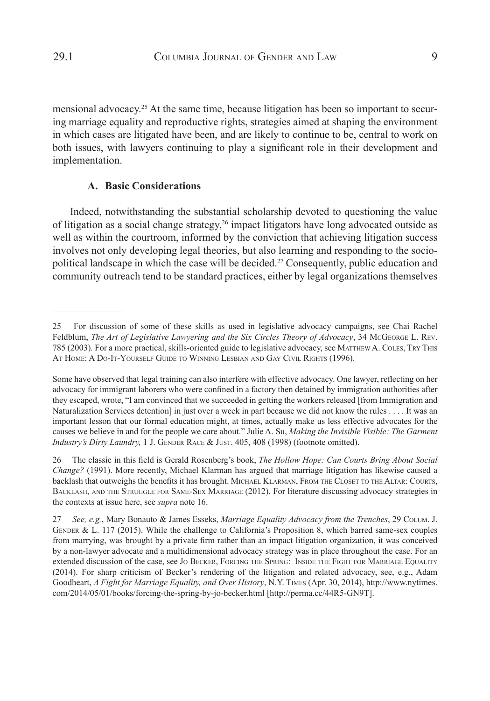mensional advocacy.25 At the same time, because litigation has been so important to securing marriage equality and reproductive rights, strategies aimed at shaping the environment in which cases are litigated have been, and are likely to continue to be, central to work on both issues, with lawyers continuing to play a significant role in their development and

## **A. Basic Considerations**

Indeed, notwithstanding the substantial scholarship devoted to questioning the value of litigation as a social change strategy,<sup>26</sup> impact litigators have long advocated outside as well as within the courtroom, informed by the conviction that achieving litigation success involves not only developing legal theories, but also learning and responding to the sociopolitical landscape in which the case will be decided.<sup>27</sup> Consequently, public education and community outreach tend to be standard practices, either by legal organizations themselves

implementation.

<sup>25</sup> For discussion of some of these skills as used in legislative advocacy campaigns, see Chai Rachel Feldblum, *The Art of Legislative Lawyering and the Six Circles Theory of Advocacy*, 34 McGeorge L. Rev. 785 (2003). For a more practical, skills-oriented guide to legislative advocacy, see MATTHEW A. COLES, TRY THIS AT HOME: A DO-IT-YOURSELF GUIDE TO WINNING LESBIAN AND GAY CIVIL RIGHTS (1996).

Some have observed that legal training can also interfere with effective advocacy. One lawyer, reflecting on her advocacy for immigrant laborers who were confined in a factory then detained by immigration authorities after they escaped, wrote, "I am convinced that we succeeded in getting the workers released [from Immigration and Naturalization Services detention] in just over a week in part because we did not know the rules . . . . It was an important lesson that our formal education might, at times, actually make us less effective advocates for the causes we believe in and for the people we care about." Julie A. Su, *Making the Invisible Visible: The Garment Industry's Dirty Laundry, 1 J. GENDER RACE & JUST. 405, 408 (1998) (footnote omitted).* 

<sup>26</sup> The classic in this field is Gerald Rosenberg's book, *The Hollow Hope: Can Courts Bring About Social Change?* (1991). More recently, Michael Klarman has argued that marriage litigation has likewise caused a backlash that outweighs the benefits it has brought. MICHAEL KLARMAN, FROM THE CLOSET TO THE ALTAR: COURTS, Backlash, and the Struggle for Same-Sex Marriage (2012). For literature discussing advocacy strategies in the contexts at issue here, see *supra* note 16.

<sup>27</sup> *See, e.g.*, Mary Bonauto & James Esseks, *Marriage Equality Advocacy from the Trenches*, 29 Colum. J. GENDER & L. 117 (2015). While the challenge to California's Proposition 8, which barred same-sex couples from marrying, was brought by a private firm rather than an impact litigation organization, it was conceived by a non-lawyer advocate and a multidimensional advocacy strategy was in place throughout the case. For an extended discussion of the case, see Jo BECKER, FORCING THE SPRING: INSIDE THE FIGHT FOR MARRIAGE EQUALITY (2014). For sharp criticism of Becker's rendering of the litigation and related advocacy, see, e.g., Adam Goodheart, *A Fight for Marriage Equality, and Over History*, N.Y. Times (Apr. 30, 2014), http://www.nytimes. com/2014/05/01/books/forcing-the-spring-by-jo-becker.html [http://perma.cc/44R5-GN9T].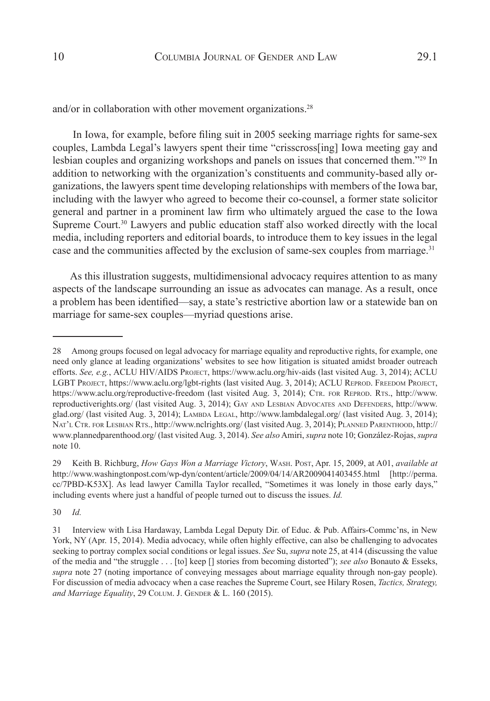and/or in collaboration with other movement organizations.<sup>28</sup>

 In Iowa, for example, before filing suit in 2005 seeking marriage rights for same-sex couples, Lambda Legal's lawyers spent their time "crisscross[ing] Iowa meeting gay and lesbian couples and organizing workshops and panels on issues that concerned them."29 In addition to networking with the organization's constituents and community-based ally organizations, the lawyers spent time developing relationships with members of the Iowa bar, including with the lawyer who agreed to become their co-counsel, a former state solicitor general and partner in a prominent law firm who ultimately argued the case to the Iowa Supreme Court.<sup>30</sup> Lawyers and public education staff also worked directly with the local media, including reporters and editorial boards, to introduce them to key issues in the legal case and the communities affected by the exclusion of same-sex couples from marriage.<sup>31</sup>

As this illustration suggests, multidimensional advocacy requires attention to as many aspects of the landscape surrounding an issue as advocates can manage. As a result, once a problem has been identified—say, a state's restrictive abortion law or a statewide ban on marriage for same-sex couples—myriad questions arise.

30 *Id.*

<sup>28</sup> Among groups focused on legal advocacy for marriage equality and reproductive rights, for example, one need only glance at leading organizations' websites to see how litigation is situated amidst broader outreach efforts. See, e.g., ACLU HIV/AIDS Project, https://www.aclu.org/hiv-aids (last visited Aug. 3, 2014); ACLU LGBT PROJECT, https://www.aclu.org/lgbt-rights (last visited Aug. 3, 2014); ACLU REPROD. FREEDOM PROJECT, https://www.aclu.org/reproductive-freedom (last visited Aug. 3, 2014); CTR. FOR REPROD. RTS., http://www. reproductiverights.org/ (last visited Aug. 3, 2014); Gay and Lesbian Advocates and Defenders, http://www. glad.org/ (last visited Aug. 3, 2014); LAMBDA LEGAL, http://www.lambdalegal.org/ (last visited Aug. 3, 2014); Nat'l Ctr. for Lesbian Rts., http://www.nclrights.org/ (last visited Aug. 3, 2014); Planned Parenthood, http:// www.plannedparenthood.org/ (last visited Aug. 3, 2014). *See also* Amiri, *supra* note 10; González-Rojas, *supra*  note 10.

<sup>29</sup> Keith B. Richburg, *How Gays Won a Marriage Victory*, Wash. Post, Apr. 15, 2009, at A01, *available at* http://www.washingtonpost.com/wp-dyn/content/article/2009/04/14/AR2009041403455.html [http://perma. cc/7PBD-K53X]. As lead lawyer Camilla Taylor recalled, "Sometimes it was lonely in those early days," including events where just a handful of people turned out to discuss the issues. *Id.*

<sup>31</sup> Interview with Lisa Hardaway, Lambda Legal Deputy Dir. of Educ. & Pub. Affairs-Commc'ns, in New York, NY (Apr. 15, 2014). Media advocacy, while often highly effective, can also be challenging to advocates seeking to portray complex social conditions or legal issues. *See* Su, *supra* note 25, at 414 (discussing the value of the media and "the struggle . . . [to] keep [] stories from becoming distorted"); *see also* Bonauto & Esseks, *supra* note 27 (noting importance of conveying messages about marriage equality through non-gay people). For discussion of media advocacy when a case reaches the Supreme Court, see Hilary Rosen, *Tactics, Strategy,*  and Marriage Equality, 29 COLUM. J. GENDER & L. 160 (2015).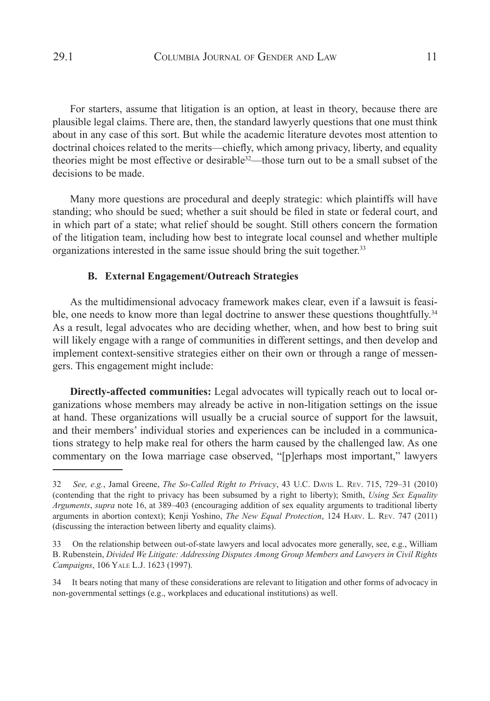For starters, assume that litigation is an option, at least in theory, because there are plausible legal claims. There are, then, the standard lawyerly questions that one must think about in any case of this sort. But while the academic literature devotes most attention to doctrinal choices related to the merits—chiefly, which among privacy, liberty, and equality theories might be most effective or desirable<sup>32</sup>—those turn out to be a small subset of the decisions to be made.

Many more questions are procedural and deeply strategic: which plaintiffs will have standing; who should be sued; whether a suit should be filed in state or federal court, and in which part of a state; what relief should be sought. Still others concern the formation of the litigation team, including how best to integrate local counsel and whether multiple organizations interested in the same issue should bring the suit together.<sup>33</sup>

### **B. External Engagement/Outreach Strategies**

As the multidimensional advocacy framework makes clear, even if a lawsuit is feasible, one needs to know more than legal doctrine to answer these questions thoughtfully.<sup>34</sup> As a result, legal advocates who are deciding whether, when, and how best to bring suit will likely engage with a range of communities in different settings, and then develop and implement context-sensitive strategies either on their own or through a range of messengers. This engagement might include:

**Directly-affected communities:** Legal advocates will typically reach out to local organizations whose members may already be active in non-litigation settings on the issue at hand. These organizations will usually be a crucial source of support for the lawsuit, and their members' individual stories and experiences can be included in a communications strategy to help make real for others the harm caused by the challenged law. As one commentary on the Iowa marriage case observed, "[p]erhaps most important," lawyers

<sup>32</sup> *See, e.g.*, Jamal Greene, *The So-Called Right to Privacy*, 43 U.C. Davis L. Rev. 715, 729–31 (2010) (contending that the right to privacy has been subsumed by a right to liberty); Smith, *Using Sex Equality Arguments*, *supra* note 16, at 389–403 (encouraging addition of sex equality arguments to traditional liberty arguments in abortion context); Kenji Yoshino, *The New Equal Protection*, 124 Harv. L. Rev. 747 (2011) (discussing the interaction between liberty and equality claims).

<sup>33</sup> On the relationship between out-of-state lawyers and local advocates more generally, see, e.g., William B. Rubenstein, *Divided We Litigate: Addressing Disputes Among Group Members and Lawyers in Civil Rights Campaigns*, 106 Yale L.J. 1623 (1997).

<sup>34</sup> It bears noting that many of these considerations are relevant to litigation and other forms of advocacy in non-governmental settings (e.g., workplaces and educational institutions) as well.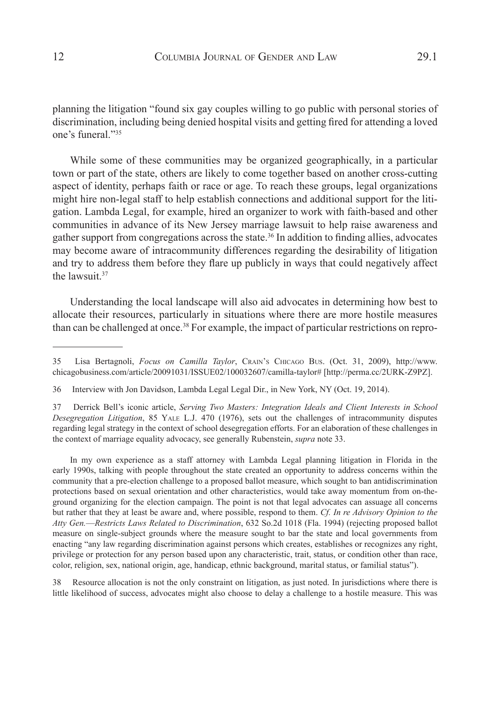planning the litigation "found six gay couples willing to go public with personal stories of discrimination, including being denied hospital visits and getting fired for attending a loved one's funeral "35

While some of these communities may be organized geographically, in a particular town or part of the state, others are likely to come together based on another cross-cutting aspect of identity, perhaps faith or race or age. To reach these groups, legal organizations might hire non-legal staff to help establish connections and additional support for the litigation. Lambda Legal, for example, hired an organizer to work with faith-based and other communities in advance of its New Jersey marriage lawsuit to help raise awareness and gather support from congregations across the state.<sup>36</sup> In addition to finding allies, advocates may become aware of intracommunity differences regarding the desirability of litigation and try to address them before they flare up publicly in ways that could negatively affect the lawsuit  $37$ 

Understanding the local landscape will also aid advocates in determining how best to allocate their resources, particularly in situations where there are more hostile measures than can be challenged at once.<sup>38</sup> For example, the impact of particular restrictions on repro-

In my own experience as a staff attorney with Lambda Legal planning litigation in Florida in the early 1990s, talking with people throughout the state created an opportunity to address concerns within the community that a pre-election challenge to a proposed ballot measure, which sought to ban antidiscrimination protections based on sexual orientation and other characteristics, would take away momentum from on-theground organizing for the election campaign. The point is not that legal advocates can assuage all concerns but rather that they at least be aware and, where possible, respond to them. *Cf. In re Advisory Opinion to the Atty Gen.*—*Restricts Laws Related to Discrimination*, 632 So.2d 1018 (Fla. 1994) (rejecting proposed ballot measure on single-subject grounds where the measure sought to bar the state and local governments from enacting "any law regarding discrimination against persons which creates, establishes or recognizes any right, privilege or protection for any person based upon any characteristic, trait, status, or condition other than race, color, religion, sex, national origin, age, handicap, ethnic background, marital status, or familial status").

38 Resource allocation is not the only constraint on litigation, as just noted. In jurisdictions where there is little likelihood of success, advocates might also choose to delay a challenge to a hostile measure. This was

<sup>35</sup> Lisa Bertagnoli, *Focus on Camilla Taylor*, Crain's Chicago Bus. (Oct. 31, 2009), http://www. chicagobusiness.com/article/20091031/ISSUE02/100032607/camilla-taylor# [http://perma.cc/2URK-Z9PZ].

<sup>36</sup> Interview with Jon Davidson, Lambda Legal Legal Dir., in New York, NY (Oct. 19, 2014).

<sup>37</sup> Derrick Bell's iconic article, *Serving Two Masters: Integration Ideals and Client Interests in School Desegregation Litigation*, 85 Yale L.J. 470 (1976), sets out the challenges of intracommunity disputes regarding legal strategy in the context of school desegregation efforts. For an elaboration of these challenges in the context of marriage equality advocacy, see generally Rubenstein, *supra* note 33.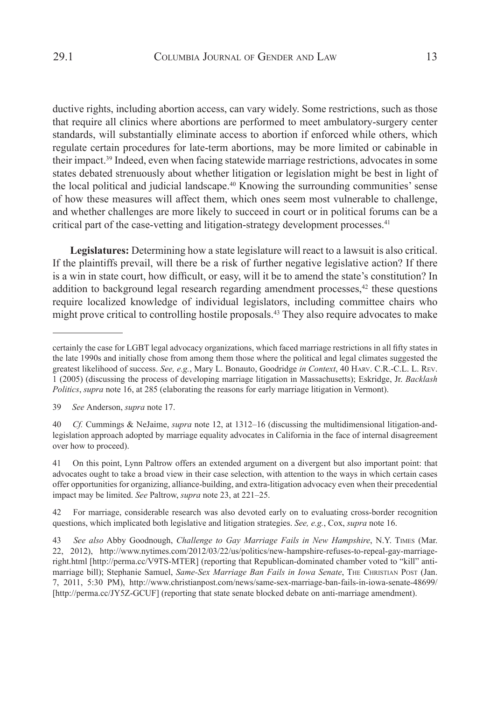ductive rights, including abortion access, can vary widely. Some restrictions, such as those that require all clinics where abortions are performed to meet ambulatory-surgery center standards, will substantially eliminate access to abortion if enforced while others, which regulate certain procedures for late-term abortions, may be more limited or cabinable in their impact.39 Indeed, even when facing statewide marriage restrictions, advocates in some states debated strenuously about whether litigation or legislation might be best in light of the local political and judicial landscape.<sup>40</sup> Knowing the surrounding communities' sense of how these measures will affect them, which ones seem most vulnerable to challenge, and whether challenges are more likely to succeed in court or in political forums can be a critical part of the case-vetting and litigation-strategy development processes.<sup>41</sup>

**Legislatures:** Determining how a state legislature will react to a lawsuit is also critical. If the plaintiffs prevail, will there be a risk of further negative legislative action? If there is a win in state court, how difficult, or easy, will it be to amend the state's constitution? In addition to background legal research regarding amendment processes, $42$  these questions require localized knowledge of individual legislators, including committee chairs who might prove critical to controlling hostile proposals.43 They also require advocates to make

certainly the case for LGBT legal advocacy organizations, which faced marriage restrictions in all fifty states in the late 1990s and initially chose from among them those where the political and legal climates suggested the greatest likelihood of success. *See, e.g.*, Mary L. Bonauto, Goodridge *in Context*, 40 Harv. C.R.-C.L. L. Rev. 1 (2005) (discussing the process of developing marriage litigation in Massachusetts); Eskridge, Jr. *Backlash Politics*, *supra* note 16, at 285 (elaborating the reasons for early marriage litigation in Vermont).

<sup>39</sup> *See* Anderson, *supra* note 17.

<sup>40</sup> *Cf.* Cummings & NeJaime, *supra* note 12, at 1312–16 (discussing the multidimensional litigation-andlegislation approach adopted by marriage equality advocates in California in the face of internal disagreement over how to proceed).

<sup>41</sup> On this point, Lynn Paltrow offers an extended argument on a divergent but also important point: that advocates ought to take a broad view in their case selection, with attention to the ways in which certain cases offer opportunities for organizing, alliance-building, and extra-litigation advocacy even when their precedential impact may be limited. *See* Paltrow, *supra* note 23, at 221–25.

<sup>42</sup> For marriage, considerable research was also devoted early on to evaluating cross-border recognition questions, which implicated both legislative and litigation strategies. *See, e.g.*, Cox, *supra* note 16.

<sup>43</sup> *See also* Abby Goodnough, *Challenge to Gay Marriage Fails in New Hampshire*, N.Y. Times (Mar. 22, 2012), http://www.nytimes.com/2012/03/22/us/politics/new-hampshire-refuses-to-repeal-gay-marriageright.html [http://perma.cc/V9TS-MTER] (reporting that Republican-dominated chamber voted to "kill" antimarriage bill); Stephanie Samuel, *Same-Sex Marriage Ban Fails in Iowa Senate*, The Christian Post (Jan. 7, 2011, 5:30 PM), http://www.christianpost.com/news/same-sex-marriage-ban-fails-in-iowa-senate-48699/ [http://perma.cc/JY5Z-GCUF] (reporting that state senate blocked debate on anti-marriage amendment).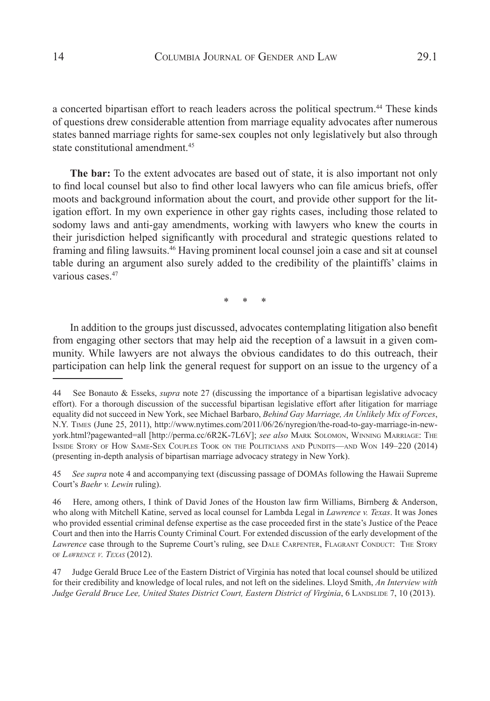a concerted bipartisan effort to reach leaders across the political spectrum.<sup>44</sup> These kinds of questions drew considerable attention from marriage equality advocates after numerous states banned marriage rights for same-sex couples not only legislatively but also through state constitutional amendment.<sup>45</sup>

**The bar:** To the extent advocates are based out of state, it is also important not only to find local counsel but also to find other local lawyers who can file amicus briefs, offer moots and background information about the court, and provide other support for the litigation effort. In my own experience in other gay rights cases, including those related to sodomy laws and anti-gay amendments, working with lawyers who knew the courts in their jurisdiction helped significantly with procedural and strategic questions related to framing and filing lawsuits.46 Having prominent local counsel join a case and sit at counsel table during an argument also surely added to the credibility of the plaintiffs' claims in various cases  $47$ 

\* \* \*

In addition to the groups just discussed, advocates contemplating litigation also benefit from engaging other sectors that may help aid the reception of a lawsuit in a given community. While lawyers are not always the obvious candidates to do this outreach, their participation can help link the general request for support on an issue to the urgency of a

45 *See supra* note 4 and accompanying text (discussing passage of DOMAs following the Hawaii Supreme Court's *Baehr v. Lewin* ruling).

<sup>44</sup> See Bonauto & Esseks, *supra* note 27 (discussing the importance of a bipartisan legislative advocacy effort). For a thorough discussion of the successful bipartisan legislative effort after litigation for marriage equality did not succeed in New York, see Michael Barbaro, *Behind Gay Marriage, An Unlikely Mix of Forces*, N.Y. Times (June 25, 2011), http://www.nytimes.com/2011/06/26/nyregion/the-road-to-gay-marriage-in-newyork.html?pagewanted=all [http://perma.cc/6R2K-7L6V]; *see also* Mark Solomon, Winning Marriage: The Inside Story of How Same-Sex Couples Took on the Politicians and Pundits—and Won 149–220 (2014) (presenting in-depth analysis of bipartisan marriage advocacy strategy in New York).

<sup>46</sup> Here, among others, I think of David Jones of the Houston law firm Williams, Birnberg & Anderson, who along with Mitchell Katine, served as local counsel for Lambda Legal in *Lawrence v. Texas*. It was Jones who provided essential criminal defense expertise as the case proceeded first in the state's Justice of the Peace Court and then into the Harris County Criminal Court. For extended discussion of the early development of the Lawrence case through to the Supreme Court's ruling, see DALE CARPENTER, FLAGRANT CONDUCT: THE STORY of *Lawrence v. Texas* (2012).

<sup>47</sup> Judge Gerald Bruce Lee of the Eastern District of Virginia has noted that local counsel should be utilized for their credibility and knowledge of local rules, and not left on the sidelines. Lloyd Smith, *An Interview with Judge Gerald Bruce Lee, United States District Court, Eastern District of Virginia*, 6 Landslide 7, 10 (2013).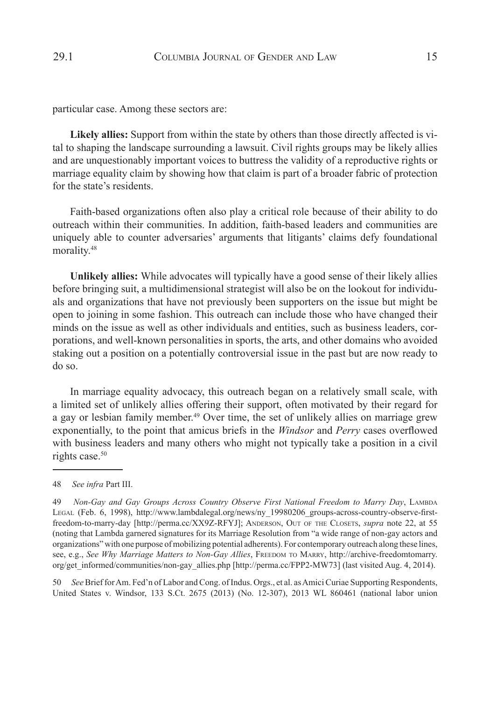particular case. Among these sectors are:

**Likely allies:** Support from within the state by others than those directly affected is vital to shaping the landscape surrounding a lawsuit. Civil rights groups may be likely allies and are unquestionably important voices to buttress the validity of a reproductive rights or marriage equality claim by showing how that claim is part of a broader fabric of protection for the state's residents.

Faith-based organizations often also play a critical role because of their ability to do outreach within their communities. In addition, faith-based leaders and communities are uniquely able to counter adversaries' arguments that litigants' claims defy foundational morality.<sup>48</sup>

**Unlikely allies:** While advocates will typically have a good sense of their likely allies before bringing suit, a multidimensional strategist will also be on the lookout for individuals and organizations that have not previously been supporters on the issue but might be open to joining in some fashion. This outreach can include those who have changed their minds on the issue as well as other individuals and entities, such as business leaders, corporations, and well-known personalities in sports, the arts, and other domains who avoided staking out a position on a potentially controversial issue in the past but are now ready to do so.

In marriage equality advocacy, this outreach began on a relatively small scale, with a limited set of unlikely allies offering their support, often motivated by their regard for a gay or lesbian family member.<sup>49</sup> Over time, the set of unlikely allies on marriage grew exponentially, to the point that amicus briefs in the *Windsor* and *Perry* cases overflowed with business leaders and many others who might not typically take a position in a civil rights case.<sup>50</sup>

50 *See* Brief for Am. Fed'n of Labor and Cong. of Indus. Orgs., et al. as Amici Curiae Supporting Respondents, United States v. Windsor, 133 S.Ct. 2675 (2013) (No. 12-307), 2013 WL 860461 (national labor union

<sup>48</sup> *See infra* Part III.

<sup>49</sup> *Non-Gay and Gay Groups Across Country Observe First National Freedom to Marry Day*, Lambda Legal (Feb. 6, 1998), http://www.lambdalegal.org/news/ny\_19980206\_groups-across-country-observe-firstfreedom-to-marry-day [http://perma.cc/XX9Z-RFYJ]; Anderson, Out of the Closets, *supra* note 22, at 55 (noting that Lambda garnered signatures for its Marriage Resolution from "a wide range of non-gay actors and organizations" with one purpose of mobilizing potential adherents). For contemporary outreach along these lines, see, e.g., *See Why Marriage Matters to Non-Gay Allies*, Freedom to MARRY, http://archive-freedomtomarry. org/get\_informed/communities/non-gay\_allies.php [http://perma.cc/FPP2-MW73] (last visited Aug. 4, 2014).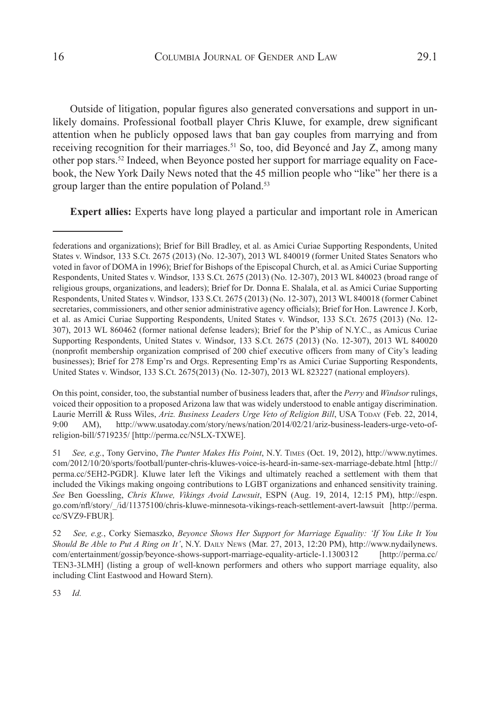Outside of litigation, popular figures also generated conversations and support in unlikely domains. Professional football player Chris Kluwe, for example, drew significant attention when he publicly opposed laws that ban gay couples from marrying and from receiving recognition for their marriages.<sup>51</sup> So, too, did Beyoncé and Jay Z, among many other pop stars.52 Indeed, when Beyonce posted her support for marriage equality on Facebook, the New York Daily News noted that the 45 million people who "like" her there is a group larger than the entire population of Poland.<sup>53</sup>

**Expert allies:** Experts have long played a particular and important role in American

On this point, consider, too, the substantial number of business leaders that, after the *Perry* and *Windsor* rulings, voiced their opposition to a proposed Arizona law that was widely understood to enable antigay discrimination. Laurie Merrill & Russ Wiles, Ariz. Business Leaders Urge Veto of Religion Bill, USA Today (Feb. 22, 2014, 9:00 AM), http://www.usatoday.com/story/news/nation/2014/02/21/ariz-business-leaders-urge-veto-ofreligion-bill/5719235/ [http://perma.cc/N5LX-TXWE].

53 *Id.*

federations and organizations); Brief for Bill Bradley, et al. as Amici Curiae Supporting Respondents, United States v. Windsor, 133 S.Ct. 2675 (2013) (No. 12-307), 2013 WL 840019 (former United States Senators who voted in favor of DOMA in 1996); Brief for Bishops of the Episcopal Church, et al. as Amici Curiae Supporting Respondents, United States v. Windsor, 133 S.Ct. 2675 (2013) (No. 12-307), 2013 WL 840023 (broad range of religious groups, organizations, and leaders); Brief for Dr. Donna E. Shalala, et al. as Amici Curiae Supporting Respondents, United States v. Windsor, 133 S.Ct. 2675 (2013) (No. 12-307), 2013 WL 840018 (former Cabinet secretaries, commissioners, and other senior administrative agency officials); Brief for Hon. Lawrence J. Korb, et al. as Amici Curiae Supporting Respondents, United States v. Windsor, 133 S.Ct. 2675 (2013) (No. 12- 307), 2013 WL 860462 (former national defense leaders); Brief for the P'ship of N.Y.C., as Amicus Curiae Supporting Respondents, United States v. Windsor, 133 S.Ct. 2675 (2013) (No. 12-307), 2013 WL 840020 (nonprofit membership organization comprised of 200 chief executive officers from many of City's leading businesses); Brief for 278 Emp'rs and Orgs. Representing Emp'rs as Amici Curiae Supporting Respondents, United States v. Windsor, 133 S.Ct. 2675(2013) (No. 12-307), 2013 WL 823227 (national employers).

<sup>51</sup> *See, e.g.*, Tony Gervino, *The Punter Makes His Point*, N.Y. Times (Oct. 19, 2012), http://www.nytimes. com/2012/10/20/sports/football/punter-chris-kluwes-voice-is-heard-in-same-sex-marriage-debate.html [http:// perma.cc/5EH2-PGDR]. Kluwe later left the Vikings and ultimately reached a settlement with them that included the Vikings making ongoing contributions to LGBT organizations and enhanced sensitivity training. *See* Ben Goessling, *Chris Kluwe, Vikings Avoid Lawsuit*, ESPN (Aug. 19, 2014, 12:15 PM), http://espn. go.com/nfl/story/\_/id/11375100/chris-kluwe-minnesota-vikings-reach-settlement-avert-lawsuit [http://perma. cc/SVZ9-FBUR]*.*

<sup>52</sup> *See, e.g.*, Corky Siemaszko, *Beyonce Shows Her Support for Marriage Equality: 'If You Like It You Should Be Able to Put A Ring on It'*, N.Y. Daily News (Mar. 27, 2013, 12:20 PM), http://www.nydailynews. com/entertainment/gossip/beyonce-shows-support-marriage-equality-article-1.1300312 [http://perma.cc/ TEN3-3LMH] (listing a group of well-known performers and others who support marriage equality, also including Clint Eastwood and Howard Stern).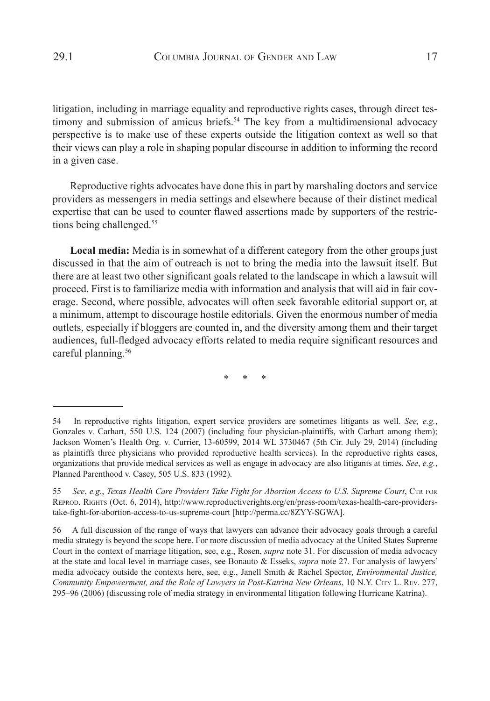litigation, including in marriage equality and reproductive rights cases, through direct testimony and submission of amicus briefs.<sup>54</sup> The key from a multidimensional advocacy perspective is to make use of these experts outside the litigation context as well so that their views can play a role in shaping popular discourse in addition to informing the record in a given case.

Reproductive rights advocates have done this in part by marshaling doctors and service providers as messengers in media settings and elsewhere because of their distinct medical expertise that can be used to counter flawed assertions made by supporters of the restrictions being challenged.<sup>55</sup>

**Local media:** Media is in somewhat of a different category from the other groups just discussed in that the aim of outreach is not to bring the media into the lawsuit itself. But there are at least two other significant goals related to the landscape in which a lawsuit will proceed. First is to familiarize media with information and analysis that will aid in fair coverage. Second, where possible, advocates will often seek favorable editorial support or, at a minimum, attempt to discourage hostile editorials. Given the enormous number of media outlets, especially if bloggers are counted in, and the diversity among them and their target audiences, full-fledged advocacy efforts related to media require significant resources and careful planning.<sup>56</sup>

\* \* \*

<sup>54</sup> In reproductive rights litigation, expert service providers are sometimes litigants as well. *See, e.g.*, Gonzales v. Carhart, 550 U.S. 124 (2007) (including four physician-plaintiffs, with Carhart among them); Jackson Women's Health Org. v. Currier, 13-60599, 2014 WL 3730467 (5th Cir. July 29, 2014) (including as plaintiffs three physicians who provided reproductive health services). In the reproductive rights cases, organizations that provide medical services as well as engage in advocacy are also litigants at times. *See*, *e.g.*, Planned Parenthood v. Casey, 505 U.S. 833 (1992).

<sup>55</sup> See, e.g., Texas Health Care Providers Take Fight for Abortion Access to U.S. Supreme Court, CTR FOR Reprod. Rights (Oct. 6, 2014), http://www.reproductiverights.org/en/press-room/texas-health-care-providerstake-fight-for-abortion-access-to-us-supreme-court [http://perma.cc/8ZYY-SGWA].

<sup>56</sup> A full discussion of the range of ways that lawyers can advance their advocacy goals through a careful media strategy is beyond the scope here. For more discussion of media advocacy at the United States Supreme Court in the context of marriage litigation, see, e.g., Rosen, *supra* note 31. For discussion of media advocacy at the state and local level in marriage cases, see Bonauto & Esseks, *supra* note 27. For analysis of lawyers' media advocacy outside the contexts here, see, e.g., Janell Smith & Rachel Spector, *Environmental Justice, Community Empowerment, and the Role of Lawyers in Post-Katrina New Orleans*, 10 N.Y. City L. Rev. 277, 295–96 (2006) (discussing role of media strategy in environmental litigation following Hurricane Katrina).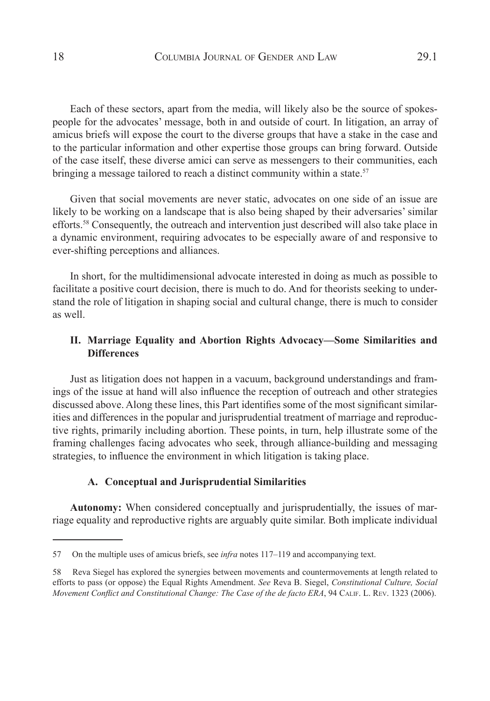Each of these sectors, apart from the media, will likely also be the source of spokespeople for the advocates' message, both in and outside of court. In litigation, an array of amicus briefs will expose the court to the diverse groups that have a stake in the case and to the particular information and other expertise those groups can bring forward. Outside of the case itself, these diverse amici can serve as messengers to their communities, each bringing a message tailored to reach a distinct community within a state.<sup>57</sup>

Given that social movements are never static, advocates on one side of an issue are likely to be working on a landscape that is also being shaped by their adversaries' similar efforts.58 Consequently, the outreach and intervention just described will also take place in a dynamic environment, requiring advocates to be especially aware of and responsive to ever-shifting perceptions and alliances.

In short, for the multidimensional advocate interested in doing as much as possible to facilitate a positive court decision, there is much to do. And for theorists seeking to understand the role of litigation in shaping social and cultural change, there is much to consider as well.

## **II. Marriage Equality and Abortion Rights Advocacy—Some Similarities and Differences**

Just as litigation does not happen in a vacuum, background understandings and framings of the issue at hand will also influence the reception of outreach and other strategies discussed above. Along these lines, this Part identifies some of the most significant similarities and differences in the popular and jurisprudential treatment of marriage and reproductive rights, primarily including abortion. These points, in turn, help illustrate some of the framing challenges facing advocates who seek, through alliance-building and messaging strategies, to influence the environment in which litigation is taking place.

### **A. Conceptual and Jurisprudential Similarities**

**Autonomy:** When considered conceptually and jurisprudentially, the issues of marriage equality and reproductive rights are arguably quite similar. Both implicate individual

<sup>57</sup> On the multiple uses of amicus briefs, see *infra* notes 117–119 and accompanying text.

<sup>58</sup> Reva Siegel has explored the synergies between movements and countermovements at length related to efforts to pass (or oppose) the Equal Rights Amendment. *See* Reva B. Siegel, *Constitutional Culture, Social Movement Conflict and Constitutional Change: The Case of the de facto ERA*, 94 Calif. L. Rev. 1323 (2006).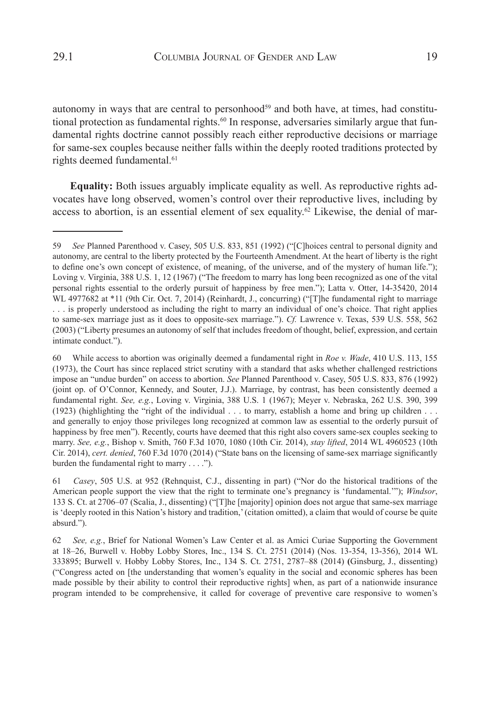autonomy in ways that are central to personhood<sup>59</sup> and both have, at times, had constitutional protection as fundamental rights.<sup>60</sup> In response, adversaries similarly argue that fundamental rights doctrine cannot possibly reach either reproductive decisions or marriage for same-sex couples because neither falls within the deeply rooted traditions protected by

rights deemed fundamental.<sup>61</sup>

**Equality:** Both issues arguably implicate equality as well. As reproductive rights advocates have long observed, women's control over their reproductive lives, including by access to abortion, is an essential element of sex equality.<sup>62</sup> Likewise, the denial of mar-

<sup>59</sup> *See* Planned Parenthood v. Casey, 505 U.S. 833, 851 (1992) ("[C]hoices central to personal dignity and autonomy, are central to the liberty protected by the Fourteenth Amendment. At the heart of liberty is the right to define one's own concept of existence, of meaning, of the universe, and of the mystery of human life."); Loving v. Virginia, 388 U.S. 1, 12 (1967) ("The freedom to marry has long been recognized as one of the vital personal rights essential to the orderly pursuit of happiness by free men."); Latta v. Otter, 14-35420, 2014 WL 4977682 at \*11 (9th Cir. Oct. 7, 2014) (Reinhardt, J., concurring) ("[T]he fundamental right to marriage . . . is properly understood as including the right to marry an individual of one's choice. That right applies to same-sex marriage just as it does to opposite-sex marriage."). *Cf.* Lawrence v. Texas, 539 U.S. 558, 562 (2003) ("Liberty presumes an autonomy of self that includes freedom of thought, belief, expression, and certain intimate conduct.").

<sup>60</sup> While access to abortion was originally deemed a fundamental right in *Roe v. Wade*, 410 U.S. 113, 155 (1973), the Court has since replaced strict scrutiny with a standard that asks whether challenged restrictions impose an "undue burden" on access to abortion. *See* Planned Parenthood v. Casey, 505 U.S. 833, 876 (1992) (joint op. of O'Connor, Kennedy, and Souter, J.J.). Marriage, by contrast, has been consistently deemed a fundamental right. *See, e.g.*, Loving v. Virginia, 388 U.S. 1 (1967); Meyer v. Nebraska, 262 U.S. 390, 399 (1923) (highlighting the "right of the individual . . . to marry, establish a home and bring up children . . . and generally to enjoy those privileges long recognized at common law as essential to the orderly pursuit of happiness by free men"). Recently, courts have deemed that this right also covers same-sex couples seeking to marry. *See, e.g.*, Bishop v. Smith, 760 F.3d 1070, 1080 (10th Cir. 2014), *stay lifted*, 2014 WL 4960523 (10th Cir. 2014), *cert. denied*, 760 F.3d 1070 (2014) ("State bans on the licensing of same-sex marriage significantly burden the fundamental right to marry  $\dots$ .").

<sup>61</sup> *Casey*, 505 U.S. at 952 (Rehnquist, C.J., dissenting in part) ("Nor do the historical traditions of the American people support the view that the right to terminate one's pregnancy is 'fundamental.'"); *Windsor*, 133 S. Ct. at 2706–07 (Scalia, J., dissenting) ("[T]he [majority] opinion does not argue that same-sex marriage is 'deeply rooted in this Nation's history and tradition,' (citation omitted), a claim that would of course be quite absurd.").

<sup>62</sup> *See, e.g.*, Brief for National Women's Law Center et al. as Amici Curiae Supporting the Government at 18–26, Burwell v. Hobby Lobby Stores, Inc., 134 S. Ct. 2751 (2014) (Nos. 13-354, 13-356), 2014 WL 333895; Burwell v. Hobby Lobby Stores, Inc., 134 S. Ct. 2751, 2787–88 (2014) **(**Ginsburg, J., dissenting) ("Congress acted on [the understanding that women's equality in the social and economic spheres has been made possible by their ability to control their reproductive rights] when, as part of a nationwide insurance program intended to be comprehensive, it called for coverage of preventive care responsive to women's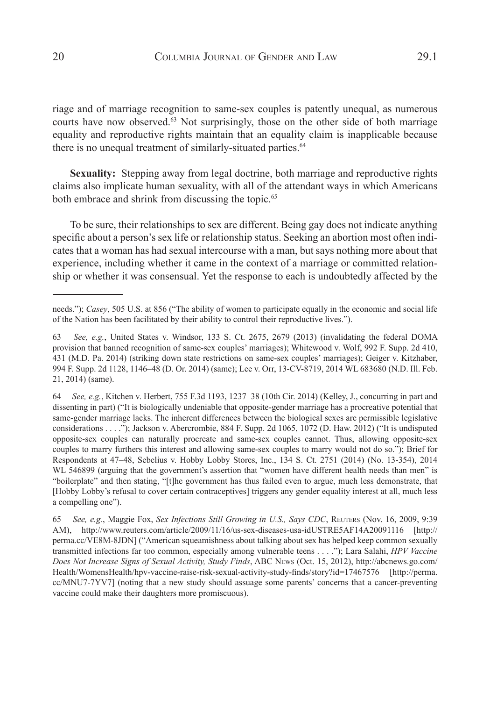riage and of marriage recognition to same-sex couples is patently unequal, as numerous courts have now observed.<sup>63</sup> Not surprisingly, those on the other side of both marriage equality and reproductive rights maintain that an equality claim is inapplicable because there is no unequal treatment of similarly-situated parties.<sup>64</sup>

**Sexuality:** Stepping away from legal doctrine, both marriage and reproductive rights claims also implicate human sexuality, with all of the attendant ways in which Americans both embrace and shrink from discussing the topic.<sup>65</sup>

To be sure, their relationships to sex are different. Being gay does not indicate anything specific about a person's sex life or relationship status. Seeking an abortion most often indicates that a woman has had sexual intercourse with a man, but says nothing more about that experience, including whether it came in the context of a marriage or committed relationship or whether it was consensual. Yet the response to each is undoubtedly affected by the

64 *See, e.g.*, Kitchen v. Herbert, 755 F.3d 1193, 1237–38 (10th Cir. 2014) (Kelley, J., concurring in part and dissenting in part) ("It is biologically undeniable that opposite-gender marriage has a procreative potential that same-gender marriage lacks. The inherent differences between the biological sexes are permissible legislative considerations . . . ."); Jackson v. Abercrombie, 884 F. Supp. 2d 1065, 1072 (D. Haw. 2012) ("It is undisputed opposite-sex couples can naturally procreate and same-sex couples cannot. Thus, allowing opposite-sex couples to marry furthers this interest and allowing same-sex couples to marry would not do so."); Brief for Respondents at 47–48, Sebelius v. Hobby Lobby Stores, Inc., 134 S. Ct. 2751 (2014) (No. 13-354), 2014 WL 546899 (arguing that the government's assertion that "women have different health needs than men" is "boilerplate" and then stating, "[t]he government has thus failed even to argue, much less demonstrate, that [Hobby Lobby's refusal to cover certain contraceptives] triggers any gender equality interest at all, much less a compelling one").

65 *See, e.g.*, Maggie Fox, *Sex Infections Still Growing in U.S., Says CDC*, Reuters (Nov. 16, 2009, 9:39 AM), http://www.reuters.com/article/2009/11/16/us-sex-diseases-usa-idUSTRE5AF14A20091116 [http:// perma.cc/VE8M-8JDN] ("American squeamishness about talking about sex has helped keep common sexually transmitted infections far too common, especially among vulnerable teens . . . ."); Lara Salahi, *HPV Vaccine Does Not Increase Signs of Sexual Activity, Study Finds*, ABC News (Oct. 15, 2012), http://abcnews.go.com/ Health/WomensHealth/hpv-vaccine-raise-risk-sexual-activity-study-finds/story?id=17467576 [http://perma. cc/MNU7-7YV7] (noting that a new study should assuage some parents' concerns that a cancer-preventing vaccine could make their daughters more promiscuous).

needs."); *Casey*, 505 U.S. at 856 ("The ability of women to participate equally in the economic and social life of the Nation has been facilitated by their ability to control their reproductive lives.").

<sup>63</sup> *See, e.g.*, United States v. Windsor, 133 S. Ct. 2675, 2679 (2013) (invalidating the federal DOMA provision that banned recognition of same-sex couples' marriages); Whitewood v. Wolf, 992 F. Supp. 2d 410, 431 (M.D. Pa. 2014) (striking down state restrictions on same-sex couples' marriages); Geiger v. Kitzhaber, 994 F. Supp. 2d 1128, 1146–48 (D. Or. 2014) (same); Lee v. Orr, 13-CV-8719, 2014 WL 683680 (N.D. Ill. Feb. 21, 2014) (same).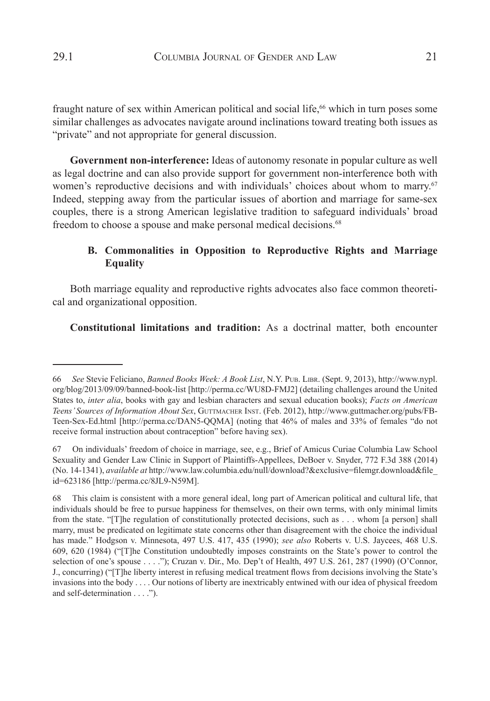fraught nature of sex within American political and social life,<sup>66</sup> which in turn poses some similar challenges as advocates navigate around inclinations toward treating both issues as "private" and not appropriate for general discussion.

**Government non-interference:** Ideas of autonomy resonate in popular culture as well as legal doctrine and can also provide support for government non-interference both with women's reproductive decisions and with individuals' choices about whom to marry.<sup>67</sup> Indeed, stepping away from the particular issues of abortion and marriage for same-sex couples, there is a strong American legislative tradition to safeguard individuals' broad freedom to choose a spouse and make personal medical decisions.<sup>68</sup>

## **B. Commonalities in Opposition to Reproductive Rights and Marriage Equality**

Both marriage equality and reproductive rights advocates also face common theoretical and organizational opposition.

**Constitutional limitations and tradition:** As a doctrinal matter, both encounter

<sup>66</sup> *See* Stevie Feliciano, *Banned Books Week: A Book List*, N.Y. Pub. Libr. (Sept. 9, 2013), http://www.nypl. org/blog/2013/09/09/banned-book-list [http://perma.cc/WU8D-FMJ2] (detailing challenges around the United States to, *inter alia*, books with gay and lesbian characters and sexual education books); *Facts on American*  Teens' Sources of Information About Sex, GUTTMACHER INST. (Feb. 2012), http://www.guttmacher.org/pubs/FB-Teen-Sex-Ed.html [http://perma.cc/DAN5-QQMA] (noting that 46% of males and 33% of females "do not receive formal instruction about contraception" before having sex).

<sup>67</sup> On individuals' freedom of choice in marriage, see, e.g., Brief of Amicus Curiae Columbia Law School Sexuality and Gender Law Clinic in Support of Plaintiffs-Appellees, DeBoer v. Snyder, 772 F.3d 388 (2014) (No. 14-1341), *available at* http://www.law.columbia.edu/null/download?&exclusive=filemgr.download&file\_ id=623186 [http://perma.cc/8JL9-N59M].

<sup>68</sup> This claim is consistent with a more general ideal, long part of American political and cultural life, that individuals should be free to pursue happiness for themselves, on their own terms, with only minimal limits from the state. "[T]he regulation of constitutionally protected decisions, such as . . . whom [a person] shall marry, must be predicated on legitimate state concerns other than disagreement with the choice the individual has made." Hodgson v. Minnesota, 497 U.S. 417, 435 (1990); *see also* Roberts v. U.S. Jaycees, 468 U.S. 609, 620 (1984) ("[T]he Constitution undoubtedly imposes constraints on the State's power to control the selection of one's spouse . . . ."); Cruzan v. Dir., Mo. Dep't of Health, 497 U.S. 261, 287 (1990) (O'Connor, J., concurring) ("[T]he liberty interest in refusing medical treatment flows from decisions involving the State's invasions into the body . . . . Our notions of liberty are inextricably entwined with our idea of physical freedom and self-determination . . . .").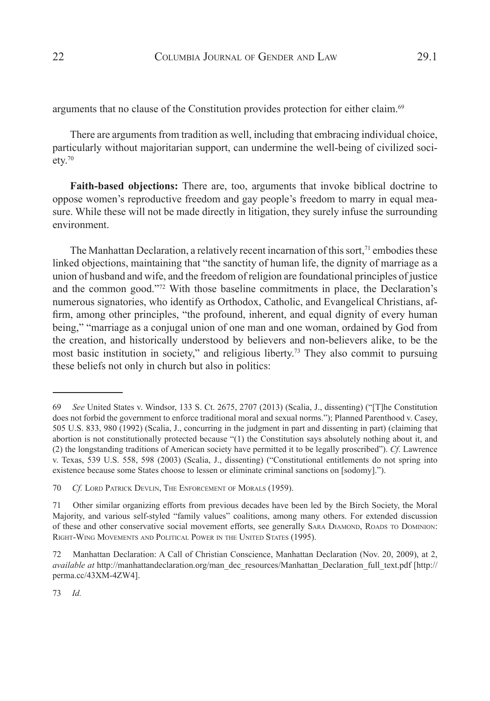arguments that no clause of the Constitution provides protection for either claim.69

There are arguments from tradition as well, including that embracing individual choice, particularly without majoritarian support, can undermine the well-being of civilized society.70

**Faith-based objections:** There are, too, arguments that invoke biblical doctrine to oppose women's reproductive freedom and gay people's freedom to marry in equal measure. While these will not be made directly in litigation, they surely infuse the surrounding environment.

The Manhattan Declaration, a relatively recent incarnation of this sort,<sup> $71$ </sup> embodies these linked objections, maintaining that "the sanctity of human life, the dignity of marriage as a union of husband and wife, and the freedom of religion are foundational principles of justice and the common good."72 With those baseline commitments in place, the Declaration's numerous signatories, who identify as Orthodox, Catholic, and Evangelical Christians, affirm, among other principles, "the profound, inherent, and equal dignity of every human being," "marriage as a conjugal union of one man and one woman, ordained by God from the creation, and historically understood by believers and non-believers alike, to be the most basic institution in society," and religious liberty.73 They also commit to pursuing these beliefs not only in church but also in politics:

73 *Id.*

<sup>69</sup> *See* United States v. Windsor, 133 S. Ct. 2675, 2707 (2013) (Scalia, J., dissenting) ("[T]he Constitution does not forbid the government to enforce traditional moral and sexual norms."); Planned Parenthood v. Casey, 505 U.S. 833, 980 (1992) (Scalia, J., concurring in the judgment in part and dissenting in part) (claiming that abortion is not constitutionally protected because "(1) the Constitution says absolutely nothing about it, and (2) the longstanding traditions of American society have permitted it to be legally proscribed"). *Cf*. Lawrence v. Texas, 539 U.S. 558, 598 (2003) (Scalia, J., dissenting) ("Constitutional entitlements do not spring into existence because some States choose to lessen or eliminate criminal sanctions on [sodomy].").

<sup>70</sup> *Cf.* Lord Patrick Devlin, The Enforcement of Morals (1959).

<sup>71</sup> Other similar organizing efforts from previous decades have been led by the Birch Society, the Moral Majority, and various self-styled "family values" coalitions, among many others. For extended discussion of these and other conservative social movement efforts, see generally SARA DIAMOND, ROADS TO DOMINION: Right-Wing Movements and Political Power in the United States (1995).

<sup>72</sup> Manhattan Declaration: A Call of Christian Conscience, Manhattan Declaration (Nov. 20, 2009), at 2, *available at* http://manhattandeclaration.org/man\_dec\_resources/Manhattan\_Declaration\_full\_text.pdf [http:// perma.cc/43XM-4ZW4].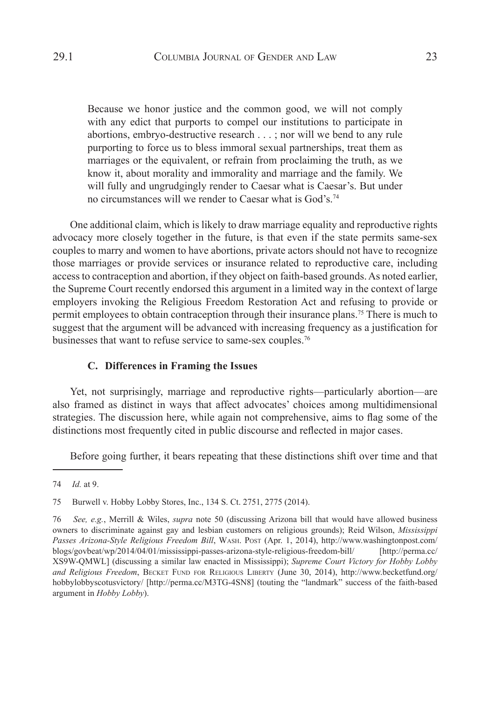Because we honor justice and the common good, we will not comply with any edict that purports to compel our institutions to participate in abortions, embryo-destructive research . . . ; nor will we bend to any rule purporting to force us to bless immoral sexual partnerships, treat them as marriages or the equivalent, or refrain from proclaiming the truth, as we know it, about morality and immorality and marriage and the family. We will fully and ungrudgingly render to Caesar what is Caesar's. But under no circumstances will we render to Caesar what is God's.<sup>74</sup>

One additional claim, which is likely to draw marriage equality and reproductive rights advocacy more closely together in the future, is that even if the state permits same-sex couples to marry and women to have abortions, private actors should not have to recognize those marriages or provide services or insurance related to reproductive care, including access to contraception and abortion, if they object on faith-based grounds. As noted earlier, the Supreme Court recently endorsed this argument in a limited way in the context of large employers invoking the Religious Freedom Restoration Act and refusing to provide or permit employees to obtain contraception through their insurance plans.75 There is much to suggest that the argument will be advanced with increasing frequency as a justification for businesses that want to refuse service to same-sex couples.<sup>76</sup>

### **C. Differences in Framing the Issues**

Yet, not surprisingly, marriage and reproductive rights—particularly abortion—are also framed as distinct in ways that affect advocates' choices among multidimensional strategies. The discussion here, while again not comprehensive, aims to flag some of the distinctions most frequently cited in public discourse and reflected in major cases.

Before going further, it bears repeating that these distinctions shift over time and that

<sup>74</sup> *Id.* at 9.

<sup>75</sup> Burwell v. Hobby Lobby Stores, Inc., 134 S. Ct. 2751, 2775 (2014).

<sup>76</sup> *See, e.g.*, Merrill & Wiles, *supra* note 50 (discussing Arizona bill that would have allowed business owners to discriminate against gay and lesbian customers on religious grounds); Reid Wilson, *Mississippi Passes Arizona-Style Religious Freedom Bill*, Wash. Post (Apr. 1, 2014), http://www.washingtonpost.com/ blogs/govbeat/wp/2014/04/01/mississippi-passes-arizona-style-religious-freedom-bill/ [http://perma.cc/ XS9W-QMWL] (discussing a similar law enacted in Mississippi); *Supreme Court Victory for Hobby Lobby*  and Religious Freedom, BECKET FUND FOR RELIGIOUS LIBERTY (June 30, 2014), http://www.becketfund.org/ hobbylobbyscotusvictory/ [http://perma.cc/M3TG-4SN8] (touting the "landmark" success of the faith-based argument in *Hobby Lobby*).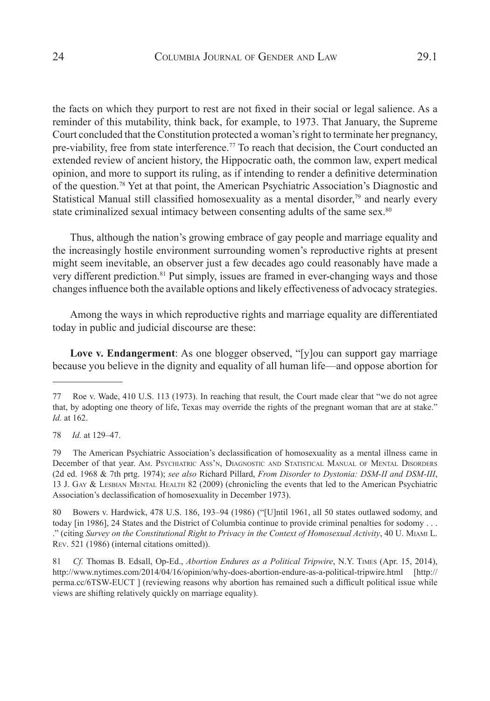the facts on which they purport to rest are not fixed in their social or legal salience. As a reminder of this mutability, think back, for example, to 1973. That January, the Supreme Court concluded that the Constitution protected a woman's right to terminate her pregnancy, pre-viability, free from state interference.77 To reach that decision, the Court conducted an extended review of ancient history, the Hippocratic oath, the common law, expert medical opinion, and more to support its ruling, as if intending to render a definitive determination of the question.78 Yet at that point, the American Psychiatric Association's Diagnostic and Statistical Manual still classified homosexuality as a mental disorder,<sup>79</sup> and nearly every state criminalized sexual intimacy between consenting adults of the same sex.<sup>80</sup>

Thus, although the nation's growing embrace of gay people and marriage equality and the increasingly hostile environment surrounding women's reproductive rights at present might seem inevitable, an observer just a few decades ago could reasonably have made a very different prediction.81 Put simply, issues are framed in ever-changing ways and those changes influence both the available options and likely effectiveness of advocacy strategies.

Among the ways in which reproductive rights and marriage equality are differentiated today in public and judicial discourse are these:

**Love v. Endangerment**: As one blogger observed, "[y]ou can support gay marriage because you believe in the dignity and equality of all human life—and oppose abortion for

80 Bowers v. Hardwick, 478 U.S. 186, 193–94 (1986) ("[U]ntil 1961, all 50 states outlawed sodomy, and today [in 1986], 24 States and the District of Columbia continue to provide criminal penalties for sodomy . . . ." (citing *Survey on the Constitutional Right to Privacy in the Context of Homosexual Activity*, 40 U. Miami L. Rev. 521 (1986) (internal citations omitted)).

81 *Cf.* Thomas B. Edsall, Op-Ed., *Abortion Endures as a Political Tripwire*, N.Y. Times (Apr. 15, 2014), http://www.nytimes.com/2014/04/16/opinion/why-does-abortion-endure-as-a-political-tripwire.html [http:// perma.cc/6TSW-EUCT ] (reviewing reasons why abortion has remained such a difficult political issue while views are shifting relatively quickly on marriage equality).

<sup>77</sup> Roe v. Wade, 410 U.S. 113 (1973). In reaching that result, the Court made clear that "we do not agree that, by adopting one theory of life, Texas may override the rights of the pregnant woman that are at stake." *Id.* at 162.

<sup>78</sup> *Id.* at 129–47.

<sup>79</sup> The American Psychiatric Association's declassification of homosexuality as a mental illness came in December of that year. Am. Psychiatric Ass'n, Diagnostic and Statistical Manual of Mental Disorders (2d ed. 1968 & 7th prtg. 1974); *see also* Richard Pillard, *From Disorder to Dystonia: DSM-II and DSM-III*, 13 J. Gay & Lesbian Mental Health 82 (2009) (chronicling the events that led to the American Psychiatric Association's declassification of homosexuality in December 1973).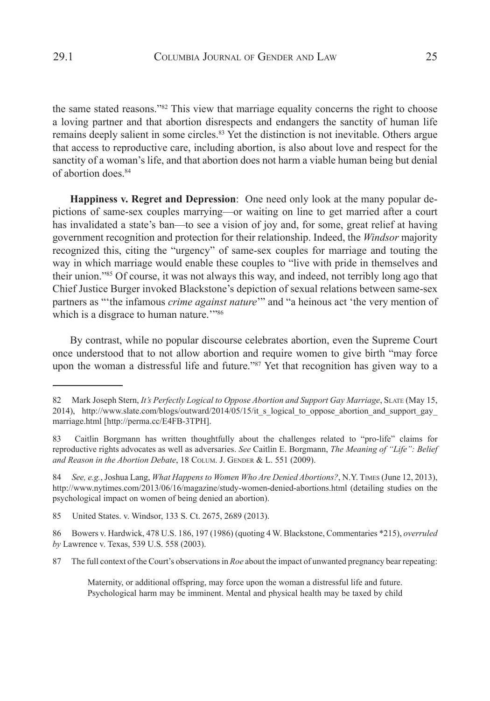the same stated reasons."82 This view that marriage equality concerns the right to choose a loving partner and that abortion disrespects and endangers the sanctity of human life remains deeply salient in some circles.<sup>83</sup> Yet the distinction is not inevitable. Others argue that access to reproductive care, including abortion, is also about love and respect for the sanctity of a woman's life, and that abortion does not harm a viable human being but denial of abortion does.<sup>84</sup>

**Happiness v. Regret and Depression**: One need only look at the many popular depictions of same-sex couples marrying—or waiting on line to get married after a court has invalidated a state's ban—to see a vision of joy and, for some, great relief at having government recognition and protection for their relationship. Indeed, the *Windsor* majority recognized this, citing the "urgency" of same-sex couples for marriage and touting the way in which marriage would enable these couples to "live with pride in themselves and their union."85 Of course, it was not always this way, and indeed, not terribly long ago that Chief Justice Burger invoked Blackstone's depiction of sexual relations between same-sex partners as "'the infamous *crime against nature*'" and "a heinous act 'the very mention of which is a disgrace to human nature."<sup>86</sup>

By contrast, while no popular discourse celebrates abortion, even the Supreme Court once understood that to not allow abortion and require women to give birth "may force upon the woman a distressful life and future."<sup>87</sup> Yet that recognition has given way to a

<sup>82</sup> Mark Joseph Stern, *It's Perfectly Logical to Oppose Abortion and Support Gay Marriage*, SLATE (May 15, 2014), http://www.slate.com/blogs/outward/2014/05/15/it\_s\_logical\_to\_oppose\_abortion\_and\_support\_gay marriage.html [http://perma.cc/E4FB-3TPH].

<sup>83</sup> Caitlin Borgmann has written thoughtfully about the challenges related to "pro-life" claims for reproductive rights advocates as well as adversaries. *See* Caitlin E. Borgmann, *The Meaning of "Life": Belief*  and Reason in the Abortion Debate, 18 COLUM. J. GENDER & L. 551 (2009).

<sup>84</sup> *See, e.g.*, Joshua Lang, *What Happens to Women Who Are Denied Abortions?*, N.Y. Times (June 12, 2013), http://www.nytimes.com/2013/06/16/magazine/study-women-denied-abortions.html (detailing studies on the psychological impact on women of being denied an abortion).

<sup>85</sup> United States. v. Windsor, 133 S. Ct. 2675, 2689 (2013).

<sup>86</sup> Bowers v. Hardwick, 478 U.S. 186, 197 (1986) (quoting 4 W. Blackstone, Commentaries \*215), *overruled by* Lawrence v. Texas, 539 U.S. 558 (2003).

<sup>87</sup> The full context of the Court's observations in *Roe* about the impact of unwanted pregnancy bear repeating:

Maternity, or additional offspring, may force upon the woman a distressful life and future. Psychological harm may be imminent. Mental and physical health may be taxed by child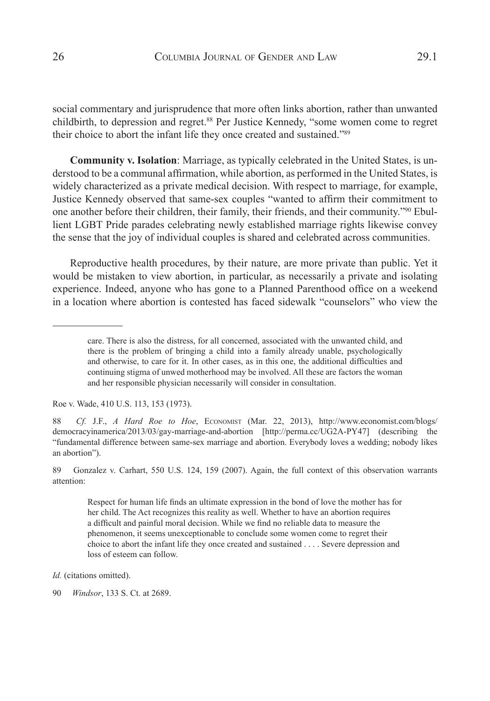social commentary and jurisprudence that more often links abortion, rather than unwanted childbirth, to depression and regret.<sup>88</sup> Per Justice Kennedy, "some women come to regret their choice to abort the infant life they once created and sustained."<sup>89</sup>

**Community v. Isolation**: Marriage, as typically celebrated in the United States, is understood to be a communal affirmation, while abortion, as performed in the United States, is widely characterized as a private medical decision. With respect to marriage, for example, Justice Kennedy observed that same-sex couples "wanted to affirm their commitment to one another before their children, their family, their friends, and their community."90 Ebullient LGBT Pride parades celebrating newly established marriage rights likewise convey the sense that the joy of individual couples is shared and celebrated across communities.

Reproductive health procedures, by their nature, are more private than public. Yet it would be mistaken to view abortion, in particular, as necessarily a private and isolating experience. Indeed, anyone who has gone to a Planned Parenthood office on a weekend in a location where abortion is contested has faced sidewalk "counselors" who view the

Roe v. Wade, 410 U.S. 113, 153 (1973).

89 Gonzalez v. Carhart, 550 U.S. 124, 159 (2007). Again, the full context of this observation warrants attention:

Respect for human life finds an ultimate expression in the bond of love the mother has for her child. The Act recognizes this reality as well. Whether to have an abortion requires a difficult and painful moral decision. While we find no reliable data to measure the phenomenon, it seems unexceptionable to conclude some women come to regret their choice to abort the infant life they once created and sustained . . . . Severe depression and loss of esteem can follow.

care. There is also the distress, for all concerned, associated with the unwanted child, and there is the problem of bringing a child into a family already unable, psychologically and otherwise, to care for it. In other cases, as in this one, the additional difficulties and continuing stigma of unwed motherhood may be involved. All these are factors the woman and her responsible physician necessarily will consider in consultation.

<sup>88</sup> *Cf.* J.F., *A Hard Roe to Hoe*, Economist (Mar. 22, 2013), http://www.economist.com/blogs/ democracyinamerica/2013/03/gay-marriage-and-abortion [http://perma.cc/UG2A-PY47] (describing the "fundamental difference between same-sex marriage and abortion. Everybody loves a wedding; nobody likes an abortion").

*Id.* (citations omitted).

<sup>90</sup> *Windsor*, 133 S. Ct. at 2689.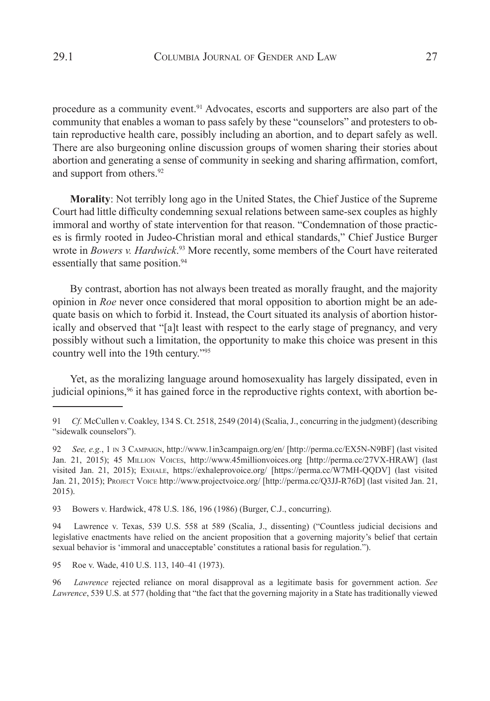procedure as a community event.<sup>91</sup> Advocates, escorts and supporters are also part of the community that enables a woman to pass safely by these "counselors" and protesters to obtain reproductive health care, possibly including an abortion, and to depart safely as well. There are also burgeoning online discussion groups of women sharing their stories about abortion and generating a sense of community in seeking and sharing affirmation, comfort, and support from others.<sup>92</sup>

**Morality**: Not terribly long ago in the United States, the Chief Justice of the Supreme Court had little difficulty condemning sexual relations between same-sex couples as highly immoral and worthy of state intervention for that reason. "Condemnation of those practices is firmly rooted in Judeo-Christian moral and ethical standards," Chief Justice Burger wrote in *Bowers v. Hardwick*. <sup>93</sup> More recently, some members of the Court have reiterated essentially that same position.<sup>94</sup>

By contrast, abortion has not always been treated as morally fraught, and the majority opinion in *Roe* never once considered that moral opposition to abortion might be an adequate basis on which to forbid it. Instead, the Court situated its analysis of abortion historically and observed that "[a]t least with respect to the early stage of pregnancy, and very possibly without such a limitation, the opportunity to make this choice was present in this country well into the 19th century."95

Yet, as the moralizing language around homosexuality has largely dissipated, even in judicial opinions,<sup>96</sup> it has gained force in the reproductive rights context, with abortion be-

95 Roe v. Wade, 410 U.S. 113, 140-41 (1973).

<sup>91</sup> *Cf.* McCullen v. Coakley, 134 S. Ct. 2518, 2549 (2014) (Scalia, J., concurring in the judgment) (describing "sidewalk counselors").

<sup>92</sup> *See, e.g.*, 1 in 3 Campaign, http://www.1in3campaign.org/en/ [http://perma.cc/EX5N-N9BF] (last visited Jan. 21, 2015); 45 Million Voices, http://www.45millionvoices.org [http://perma.cc/27VX-HRAW] (last visited Jan. 21, 2015); Exhale, https://exhaleprovoice.org/ [https://perma.cc/W7MH-QQDV] (last visited Jan. 21, 2015); Project Voice http://www.projectvoice.org/ [http://perma.cc/Q3JJ-R76D] (last visited Jan. 21, 2015).

<sup>93</sup> Bowers v. Hardwick, 478 U.S. 186, 196 (1986) (Burger, C.J., concurring).

<sup>94</sup> Lawrence v. Texas, 539 U.S. 558 at 589 (Scalia, J., dissenting) ("Countless judicial decisions and legislative enactments have relied on the ancient proposition that a governing majority's belief that certain sexual behavior is 'immoral and unacceptable' constitutes a rational basis for regulation.").

<sup>96</sup> *Lawrence* rejected reliance on moral disapproval as a legitimate basis for government action. *See Lawrence*, 539 U.S. at 577 (holding that "the fact that the governing majority in a State has traditionally viewed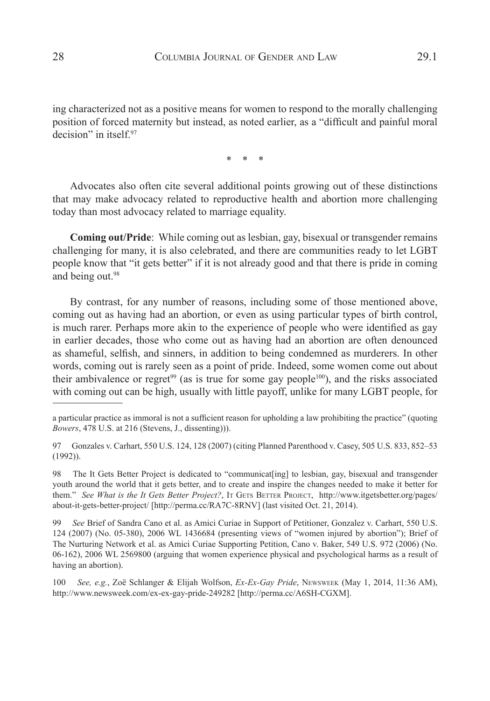ing characterized not as a positive means for women to respond to the morally challenging position of forced maternity but instead, as noted earlier, as a "difficult and painful moral decision" in itself<sup>97</sup>

\* \* \*

Advocates also often cite several additional points growing out of these distinctions that may make advocacy related to reproductive health and abortion more challenging today than most advocacy related to marriage equality.

**Coming out/Pride**: While coming out as lesbian, gay, bisexual or transgender remains challenging for many, it is also celebrated, and there are communities ready to let LGBT people know that "it gets better" if it is not already good and that there is pride in coming and being out.<sup>98</sup>

By contrast, for any number of reasons, including some of those mentioned above, coming out as having had an abortion, or even as using particular types of birth control, is much rarer. Perhaps more akin to the experience of people who were identified as gay in earlier decades, those who come out as having had an abortion are often denounced as shameful, selfish, and sinners, in addition to being condemned as murderers. In other words, coming out is rarely seen as a point of pride. Indeed, some women come out about their ambivalence or regret<sup>99</sup> (as is true for some gay people<sup>100</sup>), and the risks associated with coming out can be high, usually with little payoff, unlike for many LGBT people, for

98 The It Gets Better Project is dedicated to "communicat[ing] to lesbian, gay, bisexual and transgender youth around the world that it gets better, and to create and inspire the changes needed to make it better for them." *See What is the It Gets Better Project?*, It GETS BETTER PROJECT, http://www.itgetsbetter.org/pages/ about-it-gets-better-project/ [http://perma.cc/RA7C-8RNV] (last visited Oct. 21, 2014).

99 *See* Brief of Sandra Cano et al. as Amici Curiae in Support of Petitioner, Gonzalez v. Carhart, 550 U.S. 124 (2007) (No. 05-380), 2006 WL 1436684 (presenting views of "women injured by abortion"); Brief of The Nurturing Network et al. as Amici Curiae Supporting Petition, Cano v. Baker, 549 U.S. 972 (2006) (No. 06-162), 2006 WL 2569800 (arguing that women experience physical and psychological harms as a result of having an abortion).

100 *See, e.g.*, Zoë Schlanger & Elijah Wolfson, *Ex-Ex-Gay Pride*, Newsweek (May 1, 2014, 11:36 AM), http://www.newsweek.com/ex-ex-gay-pride-249282 [http://perma.cc/A6SH-CGXM].

a particular practice as immoral is not a sufficient reason for upholding a law prohibiting the practice" (quoting *Bowers*, 478 U.S. at 216 (Stevens, J., dissenting))).

<sup>97</sup> Gonzales v. Carhart, 550 U.S. 124, 128 (2007) (citing Planned Parenthood v. Casey, 505 U.S. 833, 852–53 (1992)).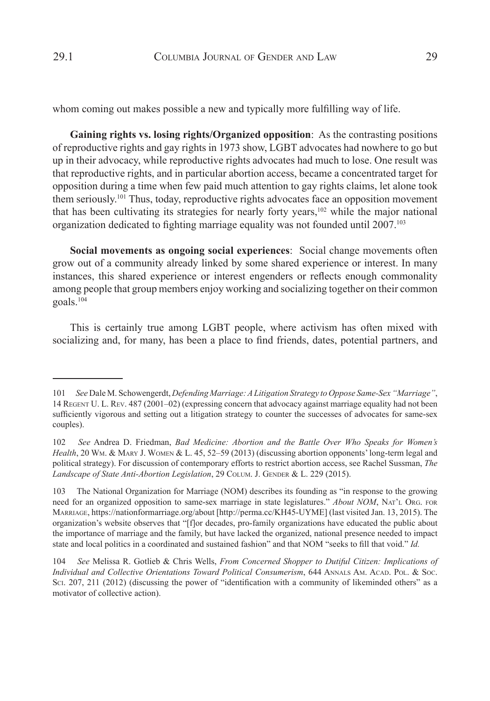whom coming out makes possible a new and typically more fulfilling way of life.

**Gaining rights vs. losing rights/Organized opposition**: As the contrasting positions of reproductive rights and gay rights in 1973 show, LGBT advocates had nowhere to go but up in their advocacy, while reproductive rights advocates had much to lose. One result was that reproductive rights, and in particular abortion access, became a concentrated target for opposition during a time when few paid much attention to gay rights claims, let alone took them seriously.101 Thus, today, reproductive rights advocates face an opposition movement that has been cultivating its strategies for nearly forty years, $102$  while the major national organization dedicated to fighting marriage equality was not founded until 2007.103

**Social movements as ongoing social experiences**: Social change movements often grow out of a community already linked by some shared experience or interest. In many instances, this shared experience or interest engenders or reflects enough commonality among people that group members enjoy working and socializing together on their common goals.104

This is certainly true among LGBT people, where activism has often mixed with socializing and, for many, has been a place to find friends, dates, potential partners, and

<sup>101</sup> *See* Dale M. Schowengerdt, *Defending Marriage: A Litigation Strategy to Oppose Same-Sex "Marriage"*, 14 Regent U. L. Rev. 487 (2001–02) (expressing concern that advocacy against marriage equality had not been sufficiently vigorous and setting out a litigation strategy to counter the successes of advocates for same-sex couples).

<sup>102</sup> *See* Andrea D. Friedman, *Bad Medicine: Abortion and the Battle Over Who Speaks for Women's Health*, 20 Wm. & Mary J. Women & L. 45, 52–59 (2013) (discussing abortion opponents' long-term legal and political strategy). For discussion of contemporary efforts to restrict abortion access, see Rachel Sussman, *The Landscape of State Anti-Abortion Legislation*, 29 COLUM. J. GENDER & L. 229 (2015).

<sup>103</sup> The National Organization for Marriage (NOM) describes its founding as "in response to the growing need for an organized opposition to same-sex marriage in state legislatures." *About NOM*, Nat'l Org. for Marriage, https://nationformarriage.org/about [http://perma.cc/KH45-UYME] (last visited Jan. 13, 2015). The organization's website observes that "[f]or decades, pro-family organizations have educated the public about the importance of marriage and the family, but have lacked the organized, national presence needed to impact state and local politics in a coordinated and sustained fashion" and that NOM "seeks to fill that void." *Id.*

<sup>104</sup> *See* Melissa R. Gotlieb & Chris Wells, *From Concerned Shopper to Dutiful Citizen: Implications of*  Individual and Collective Orientations Toward Political Consumerism, 644 ANNALS AM. ACAD. POL. & Soc. Sci. 207, 211 (2012) (discussing the power of "identification with a community of likeminded others" as a motivator of collective action).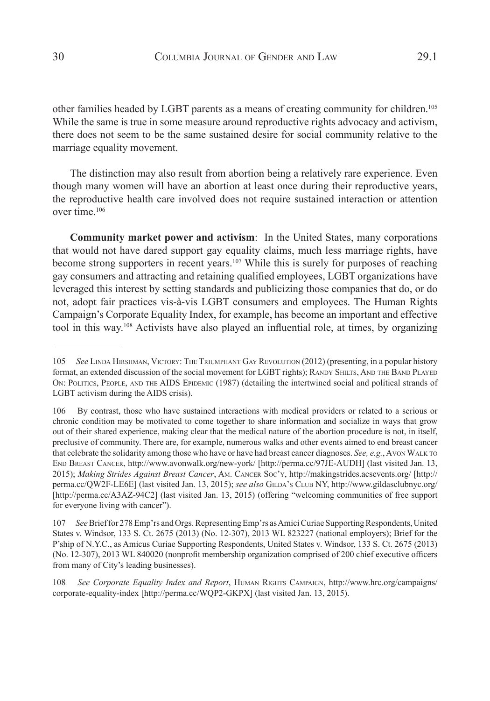other families headed by LGBT parents as a means of creating community for children.<sup>105</sup> While the same is true in some measure around reproductive rights advocacy and activism, there does not seem to be the same sustained desire for social community relative to the marriage equality movement.

The distinction may also result from abortion being a relatively rare experience. Even though many women will have an abortion at least once during their reproductive years, the reproductive health care involved does not require sustained interaction or attention over time. $106$ 

**Community market power and activism**: In the United States, many corporations that would not have dared support gay equality claims, much less marriage rights, have become strong supporters in recent years.<sup>107</sup> While this is surely for purposes of reaching gay consumers and attracting and retaining qualified employees, LGBT organizations have leveraged this interest by setting standards and publicizing those companies that do, or do not, adopt fair practices vis-à-vis LGBT consumers and employees. The Human Rights Campaign's Corporate Equality Index, for example, has become an important and effective tool in this way.108 Activists have also played an influential role, at times, by organizing

108 *See Corporate Equality Index and Report*, HUMAN RIGHTS CAMPAIGN, http://www.hrc.org/campaigns/ corporate-equality-index [http://perma.cc/WQP2-GKPX] (last visited Jan. 13, 2015).

<sup>105</sup> *See* Linda Hirshman, Victory: The Triumphant Gay Revolution (2012) (presenting, in a popular history format, an extended discussion of the social movement for LGBT rights); RANDY SHILTS, AND THE BAND PLAYED ON: POLITICS, PEOPLE, AND THE AIDS EPIDEMIC (1987) (detailing the intertwined social and political strands of LGBT activism during the AIDS crisis).

<sup>106</sup> By contrast, those who have sustained interactions with medical providers or related to a serious or chronic condition may be motivated to come together to share information and socialize in ways that grow out of their shared experience, making clear that the medical nature of the abortion procedure is not, in itself, preclusive of community. There are, for example, numerous walks and other events aimed to end breast cancer that celebrate the solidarity among those who have or have had breast cancer diagnoses. *See, e.g.*, Avon Walk to End Breast Cancer, http://www.avonwalk.org/new-york/ [http://perma.cc/97JE-AUDH] (last visited Jan. 13, 2015); *Making Strides Against Breast Cancer*, Am. Cancer Soc'y, http://makingstrides.acsevents.org/ [http:// perma.cc/QW2F-LE6E] (last visited Jan. 13, 2015); see also GILDA's CLUB NY, http://www.gildasclubnyc.org/ [http://perma.cc/A3AZ-94C2] (last visited Jan. 13, 2015) (offering "welcoming communities of free support for everyone living with cancer").

<sup>107</sup> *See*Brief for 278 Emp'rs and Orgs. Representing Emp'rs as Amici Curiae Supporting Respondents,United States v. Windsor, 133 S. Ct. 2675 (2013) (No. 12-307), 2013 WL 823227 (national employers); Brief for the P'ship of N.Y.C., as Amicus Curiae Supporting Respondents, United States v. Windsor, 133 S. Ct. 2675 (2013) (No. 12-307), 2013 WL 840020 (nonprofit membership organization comprised of 200 chief executive officers from many of City's leading businesses).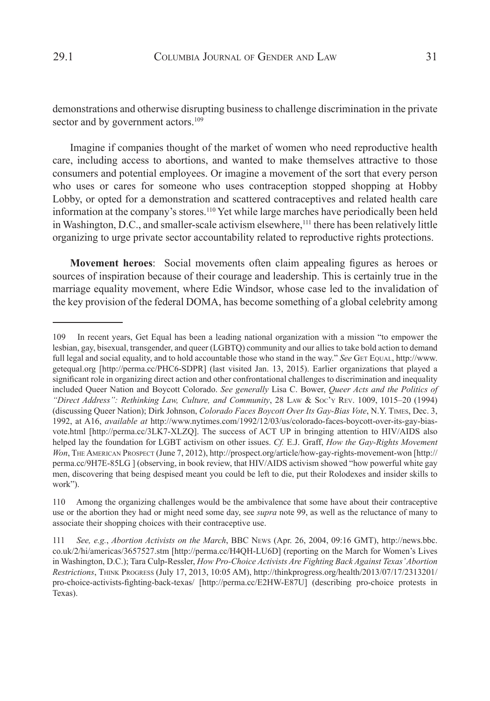demonstrations and otherwise disrupting business to challenge discrimination in the private sector and by government actors.<sup>109</sup>

Imagine if companies thought of the market of women who need reproductive health care, including access to abortions, and wanted to make themselves attractive to those consumers and potential employees. Or imagine a movement of the sort that every person who uses or cares for someone who uses contraception stopped shopping at Hobby Lobby, or opted for a demonstration and scattered contraceptives and related health care information at the company's stores.110 Yet while large marches have periodically been held in Washington, D.C., and smaller-scale activism elsewhere,<sup>111</sup> there has been relatively little organizing to urge private sector accountability related to reproductive rights protections.

**Movement heroes**: Social movements often claim appealing figures as heroes or sources of inspiration because of their courage and leadership. This is certainly true in the marriage equality movement, where Edie Windsor, whose case led to the invalidation of the key provision of the federal DOMA, has become something of a global celebrity among

<sup>109</sup> In recent years, Get Equal has been a leading national organization with a mission "to empower the lesbian, gay, bisexual, transgender, and queer (LGBTQ) community and our allies to take bold action to demand full legal and social equality, and to hold accountable those who stand in the way." *See* GET EQUAL, http://www. getequal.org [http://perma.cc/PHC6-SDPR] (last visited Jan. 13, 2015). Earlier organizations that played a significant role in organizing direct action and other confrontational challenges to discrimination and inequality included Queer Nation and Boycott Colorado. *See generally* Lisa C. Bower, *Queer Acts and the Politics of "Direct Address": Rethinking Law, Culture, and Community*, 28 Law & Soc'y Rev. 1009, 1015–20 (1994) (discussing Queer Nation); Dirk Johnson, *Colorado Faces Boycott Over Its Gay-Bias Vote*, N.Y. Times, Dec. 3, 1992, at A16, *available at* http://www.nytimes.com/1992/12/03/us/colorado-faces-boycott-over-its-gay-biasvote.html [http://perma.cc/3LK7-XLZQ]. The success of ACT UP in bringing attention to HIV/AIDS also helped lay the foundation for LGBT activism on other issues. *Cf.* E.J. Graff, *How the Gay-Rights Movement Won*, The American Prospect (June 7, 2012), http://prospect.org/article/how-gay-rights-movement-won [http:// perma.cc/9H7E-85LG ] (observing, in book review, that HIV/AIDS activism showed "how powerful white gay men, discovering that being despised meant you could be left to die, put their Rolodexes and insider skills to work").

<sup>110</sup> Among the organizing challenges would be the ambivalence that some have about their contraceptive use or the abortion they had or might need some day, see *supra* note 99, as well as the reluctance of many to associate their shopping choices with their contraceptive use.

<sup>111</sup> *See, e.g.*, *Abortion Activists on the March*, BBC News (Apr. 26, 2004, 09:16 GMT), http://news.bbc. co.uk/2/hi/americas/3657527.stm [http://perma.cc/H4QH-LU6D] (reporting on the March for Women's Lives in Washington, D.C.); Tara Culp-Ressler, *How Pro-Choice Activists Are Fighting Back Against Texas' Abortion Restrictions*, Think Progress (July 17, 2013, 10:05 AM), http://thinkprogress.org/health/2013/07/17/2313201/ pro-choice-activists-fighting-back-texas/ [http://perma.cc/E2HW-E87U] (describing pro-choice protests in Texas).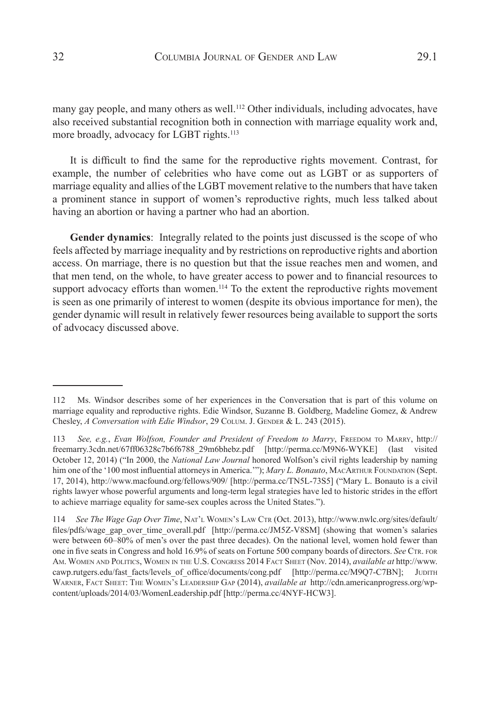many gay people, and many others as well.<sup>112</sup> Other individuals, including advocates, have also received substantial recognition both in connection with marriage equality work and, more broadly, advocacy for LGBT rights.<sup>113</sup>

It is difficult to find the same for the reproductive rights movement. Contrast, for example, the number of celebrities who have come out as LGBT or as supporters of marriage equality and allies of the LGBT movement relative to the numbers that have taken a prominent stance in support of women's reproductive rights, much less talked about having an abortion or having a partner who had an abortion.

**Gender dynamics**:Integrally related to the points just discussed is the scope of who feels affected by marriage inequality and by restrictions on reproductive rights and abortion access. On marriage, there is no question but that the issue reaches men and women, and that men tend, on the whole, to have greater access to power and to financial resources to support advocacy efforts than women.<sup>114</sup> To the extent the reproductive rights movement is seen as one primarily of interest to women (despite its obvious importance for men), the gender dynamic will result in relatively fewer resources being available to support the sorts of advocacy discussed above.

<sup>112</sup> Ms. Windsor describes some of her experiences in the Conversation that is part of this volume on marriage equality and reproductive rights. Edie Windsor, Suzanne B. Goldberg, Madeline Gomez, & Andrew Chesley, *A Conversation with Edie Windsor*, 29 COLUM. J. GENDER & L. 243 (2015).

<sup>113</sup> *See, e.g.*, *Evan Wolfson, Founder and President of Freedom to Marry*, Freedom to Marry, http:// freemarry.3cdn.net/67ff06328c7b6f6788\_29m6bhebz.pdf [http://perma.cc/M9N6-WYKE] (last visited October 12, 2014) ("In 2000, the *National Law Journal* honored Wolfson's civil rights leadership by naming him one of the '100 most influential attorneys in America.'"); *Mary L. Bonauto*, MACARTHUR FOUNDATION (Sept. 17, 2014), http://www.macfound.org/fellows/909/ [http://perma.cc/TN5L-73S5] ("Mary L. Bonauto is a civil rights lawyer whose powerful arguments and long-term legal strategies have led to historic strides in the effort to achieve marriage equality for same-sex couples across the United States.").

<sup>114</sup> *See The Wage Gap Over Time*, NAT'L WOMEN's LAW CTR (Oct. 2013), http://www.nwlc.org/sites/default/ files/pdfs/wage\_gap\_over\_time\_overall.pdf [http://perma.cc/JM5Z-V8SM] (showing that women's salaries were between 60–80% of men's over the past three decades). On the national level, women hold fewer than one in five seats in Congress and hold 16.9% of seats on Fortune 500 company boards of directors. *See* CTR. FOR Am. Women and Politics, Women in the U.S. Congress 2014 Fact Sheet (Nov. 2014), *available at* http://www. cawp.rutgers.edu/fast\_facts/levels\_of\_office/documents/cong.pdf [http://perma.cc/M9Q7-C7BN]; JUDITH Warner, Fact Sheet: The Women's Leadership Gap (2014), *available at* http://cdn.americanprogress.org/wpcontent/uploads/2014/03/WomenLeadership.pdf [http://perma.cc/4NYF-HCW3].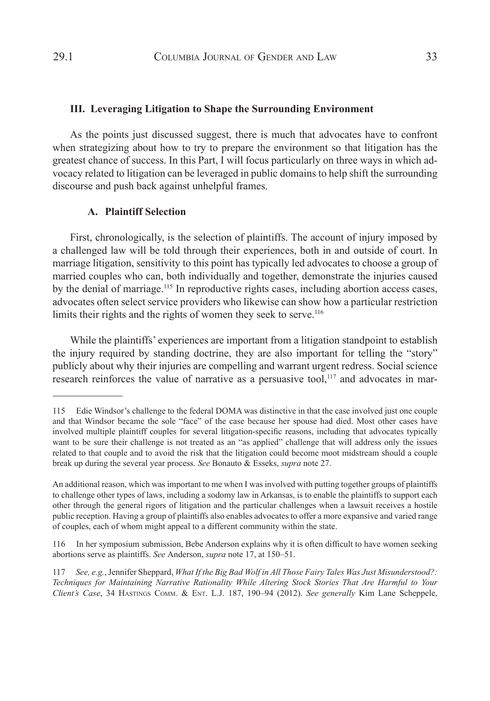#### **III. Leveraging Litigation to Shape the Surrounding Environment**

As the points just discussed suggest, there is much that advocates have to confront when strategizing about how to try to prepare the environment so that litigation has the greatest chance of success. In this Part, I will focus particularly on three ways in which advocacy related to litigation can be leveraged in public domains to help shift the surrounding discourse and push back against unhelpful frames.

#### **A. Plaintiff Selection**

First, chronologically, is the selection of plaintiffs. The account of injury imposed by a challenged law will be told through their experiences, both in and outside of court. In marriage litigation, sensitivity to this point has typically led advocates to choose a group of married couples who can, both individually and together, demonstrate the injuries caused by the denial of marriage.<sup>115</sup> In reproductive rights cases, including abortion access cases, advocates often select service providers who likewise can show how a particular restriction limits their rights and the rights of women they seek to serve.<sup>116</sup>

While the plaintiffs' experiences are important from a litigation standpoint to establish the injury required by standing doctrine, they are also important for telling the "story" publicly about why their injuries are compelling and warrant urgent redress. Social science research reinforces the value of narrative as a persuasive tool,<sup>117</sup> and advocates in mar-

116 In her symposium submission, Bebe Anderson explains why it is often difficult to have women seeking abortions serve as plaintiffs. *See* Anderson, *supra* note 17, at 150–51.

<sup>115</sup> Edie Windsor's challenge to the federal DOMA was distinctive in that the case involved just one couple and that Windsor became the sole "face" of the case because her spouse had died. Most other cases have involved multiple plaintiff couples for several litigation-specific reasons, including that advocates typically want to be sure their challenge is not treated as an "as applied" challenge that will address only the issues related to that couple and to avoid the risk that the litigation could become moot midstream should a couple break up during the several year process. *See* Bonauto & Esseks, *supra* note 27.

An additional reason, which was important to me when I was involved with putting together groups of plaintiffs to challenge other types of laws, including a sodomy law in Arkansas, is to enable the plaintiffs to support each other through the general rigors of litigation and the particular challenges when a lawsuit receives a hostile public reception. Having a group of plaintiffs also enables advocates to offer a more expansive and varied range of couples, each of whom might appeal to a different community within the state.

<sup>117</sup> *See, e.g.*, Jennifer Sheppard, *What If the Big Bad Wolf in All Those Fairy Tales Was Just Misunderstood?: Techniques for Maintaining Narrative Rationality While Altering Stock Stories That Are Harmful to Your Client's Case*, 34 Hastings Comm. & Ent. L.J. 187, 190–94 (2012). *See generally* Kim Lane Scheppele,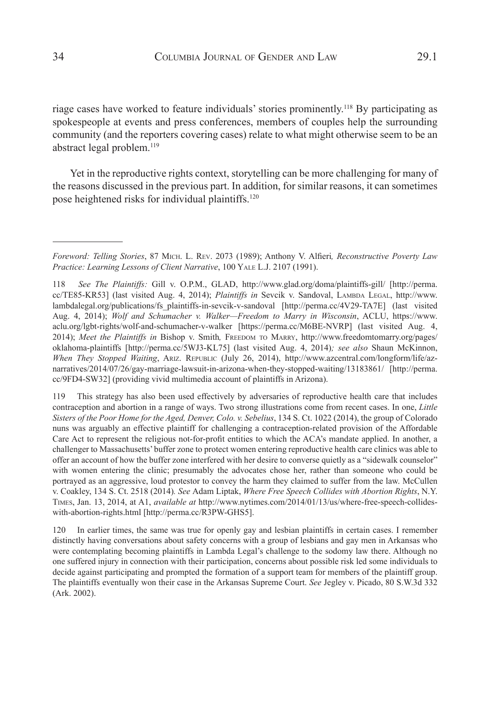riage cases have worked to feature individuals' stories prominently.<sup>118</sup> By participating as spokespeople at events and press conferences, members of couples help the surrounding community (and the reporters covering cases) relate to what might otherwise seem to be an abstract legal problem.<sup>119</sup>

Yet in the reproductive rights context, storytelling can be more challenging for many of the reasons discussed in the previous part. In addition, for similar reasons, it can sometimes pose heightened risks for individual plaintiffs.120

119 This strategy has also been used effectively by adversaries of reproductive health care that includes contraception and abortion in a range of ways. Two strong illustrations come from recent cases. In one, *Little Sisters of the Poor Home for the Aged, Denver, Colo. v. Sebelius*, 134 S. Ct. 1022 (2014), the group of Colorado nuns was arguably an effective plaintiff for challenging a contraception-related provision of the Affordable Care Act to represent the religious not-for-profit entities to which the ACA's mandate applied. In another, a challenger to Massachusetts' buffer zone to protect women entering reproductive health care clinics was able to offer an account of how the buffer zone interfered with her desire to converse quietly as a "sidewalk counselor" with women entering the clinic; presumably the advocates chose her, rather than someone who could be portrayed as an aggressive, loud protestor to convey the harm they claimed to suffer from the law. McCullen v. Coakley, 134 S. Ct. 2518 (2014)*. See* Adam Liptak, *Where Free Speech Collides with Abortion Rights*, N.Y. Times, Jan. 13, 2014, at A1, *available at* http://www.nytimes.com/2014/01/13/us/where-free-speech-collideswith-abortion-rights.html [http://perma.cc/R3PW-GHS5].

120 In earlier times, the same was true for openly gay and lesbian plaintiffs in certain cases. I remember distinctly having conversations about safety concerns with a group of lesbians and gay men in Arkansas who were contemplating becoming plaintiffs in Lambda Legal's challenge to the sodomy law there. Although no one suffered injury in connection with their participation, concerns about possible risk led some individuals to decide against participating and prompted the formation of a support team for members of the plaintiff group. The plaintiffs eventually won their case in the Arkansas Supreme Court. *See* Jegley v. Picado, 80 S.W.3d 332 (Ark. 2002).

*Foreword: Telling Stories*, 87 Mich. L. Rev. 2073 (1989); Anthony V. Alfieri*, Reconstructive Poverty Law Practice: Learning Lessons of Client Narrative*, 100 Yale L.J. 2107 (1991).

<sup>118</sup> *See The Plaintiffs:* Gill v. O.P.M., GLAD, http://www.glad.org/doma/plaintiffs-gill/ [http://perma. cc/TE85-KR53] (last visited Aug. 4, 2014); *Plaintiffs in* Sevcik v. Sandoval, LAMBDA LEGAL, http://www. lambdalegal.org/publications/fs\_plaintiffs-in-sevcik-v-sandoval [http://perma.cc/4V29-TA7E] (last visited Aug. 4, 2014); *Wolf and Schumacher v. Walker—Freedom to Marry in Wisconsin*, ACLU, https://www. aclu.org/lgbt-rights/wolf-and-schumacher-v-walker [https://perma.cc/M6BE-NVRP] (last visited Aug. 4, 2014); *Meet the Plaintiffs in* Bishop v. Smith*,* Freedom to Marry, http://www.freedomtomarry.org/pages/ oklahoma-plaintiffs [http://perma.cc/5WJ3-KL75] (last visited Aug. 4, 2014)*; see also* Shaun McKinnon, *When They Stopped Waiting*, Ariz. Republic (July 26, 2014), http://www.azcentral.com/longform/life/aznarratives/2014/07/26/gay-marriage-lawsuit-in-arizona-when-they-stopped-waiting/13183861/ [http://perma. cc/9FD4-SW32] (providing vivid multimedia account of plaintiffs in Arizona).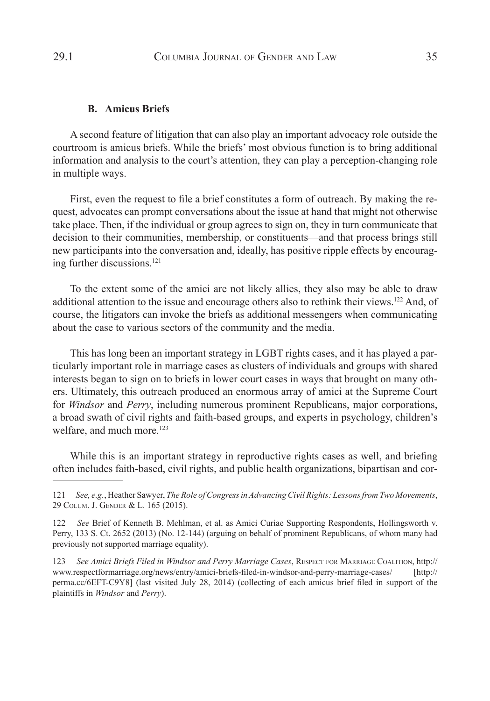#### **B. Amicus Briefs**

A second feature of litigation that can also play an important advocacy role outside the courtroom is amicus briefs. While the briefs' most obvious function is to bring additional information and analysis to the court's attention, they can play a perception-changing role in multiple ways.

First, even the request to file a brief constitutes a form of outreach. By making the request, advocates can prompt conversations about the issue at hand that might not otherwise take place. Then, if the individual or group agrees to sign on, they in turn communicate that decision to their communities, membership, or constituents—and that process brings still new participants into the conversation and, ideally, has positive ripple effects by encouraging further discussions.121

To the extent some of the amici are not likely allies, they also may be able to draw additional attention to the issue and encourage others also to rethink their views.<sup>122</sup> And, of course, the litigators can invoke the briefs as additional messengers when communicating about the case to various sectors of the community and the media.

This has long been an important strategy in LGBT rights cases, and it has played a particularly important role in marriage cases as clusters of individuals and groups with shared interests began to sign on to briefs in lower court cases in ways that brought on many others. Ultimately, this outreach produced an enormous array of amici at the Supreme Court for *Windsor* and *Perry*, including numerous prominent Republicans, major corporations, a broad swath of civil rights and faith-based groups, and experts in psychology, children's welfare, and much more.<sup>123</sup>

While this is an important strategy in reproductive rights cases as well, and briefing often includes faith-based, civil rights, and public health organizations, bipartisan and cor-

<sup>121</sup> *See, e.g.*, Heather Sawyer, *The Role of Congress in Advancing Civil Rights: Lessons from Two Movements*, 29 Colum. J. Gender & L. 165 (2015).

<sup>122</sup> *See* Brief of Kenneth B. Mehlman, et al. as Amici Curiae Supporting Respondents, Hollingsworth v. Perry, 133 S. Ct. 2652 (2013) (No. 12-144) (arguing on behalf of prominent Republicans, of whom many had previously not supported marriage equality).

<sup>123</sup> *See Amici Briefs Filed in Windsor and Perry Marriage Cases*, Respect for Marriage Coalition, http:// www.respectformarriage.org/news/entry/amici-briefs-filed-in-windsor-and-perry-marriage-cases/ [http:// perma.cc/6EFT-C9Y8] (last visited July 28, 2014) (collecting of each amicus brief filed in support of the plaintiffs in *Windsor* and *Perry*).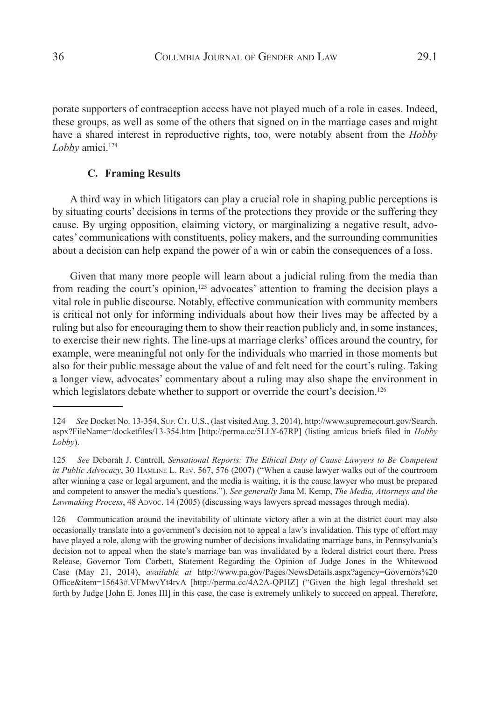porate supporters of contraception access have not played much of a role in cases. Indeed, these groups, as well as some of the others that signed on in the marriage cases and might have a shared interest in reproductive rights, too, were notably absent from the *Hobby*  Lobby amici.<sup>124</sup>

#### **C. Framing Results**

A third way in which litigators can play a crucial role in shaping public perceptions is by situating courts' decisions in terms of the protections they provide or the suffering they cause. By urging opposition, claiming victory, or marginalizing a negative result, advocates' communications with constituents, policy makers, and the surrounding communities about a decision can help expand the power of a win or cabin the consequences of a loss.

Given that many more people will learn about a judicial ruling from the media than from reading the court's opinion,<sup>125</sup> advocates' attention to framing the decision plays a vital role in public discourse. Notably, effective communication with community members is critical not only for informing individuals about how their lives may be affected by a ruling but also for encouraging them to show their reaction publicly and, in some instances, to exercise their new rights. The line-ups at marriage clerks' offices around the country, for example, were meaningful not only for the individuals who married in those moments but also for their public message about the value of and felt need for the court's ruling. Taking a longer view, advocates' commentary about a ruling may also shape the environment in which legislators debate whether to support or override the court's decision.<sup>126</sup>

<sup>124</sup> *See* Docket No. 13-354, Sup. Ct. U.S., (last visited Aug. 3, 2014), http://www.supremecourt.gov/Search. aspx?FileName=/docketfiles/13-354.htm [http://perma.cc/5LLY-67RP] (listing amicus briefs filed in *Hobby Lobby*).

<sup>125</sup> *See* Deborah J. Cantrell, *Sensational Reports: The Ethical Duty of Cause Lawyers to Be Competent in Public Advocacy*, 30 Hamline L. Rev. 567, 576 (2007) ("When a cause lawyer walks out of the courtroom after winning a case or legal argument, and the media is waiting, it is the cause lawyer who must be prepared and competent to answer the media's questions."). *See generally* Jana M. Kemp, *The Media, Attorneys and the*  Lawmaking Process, 48 Apvoc. 14 (2005) (discussing ways lawyers spread messages through media).

<sup>126</sup> Communication around the inevitability of ultimate victory after a win at the district court may also occasionally translate into a government's decision not to appeal a law's invalidation. This type of effort may have played a role, along with the growing number of decisions invalidating marriage bans, in Pennsylvania's decision not to appeal when the state's marriage ban was invalidated by a federal district court there. Press Release, Governor Tom Corbett, Statement Regarding the Opinion of Judge Jones in the Whitewood Case (May 21, 2014), *available at* http://www.pa.gov/Pages/NewsDetails.aspx?agency=Governors%20 Office&item=15643#.VFMwvYt4rvA [http://perma.cc/4A2A-QPHZ] ("Given the high legal threshold set forth by Judge [John E. Jones III] in this case, the case is extremely unlikely to succeed on appeal. Therefore,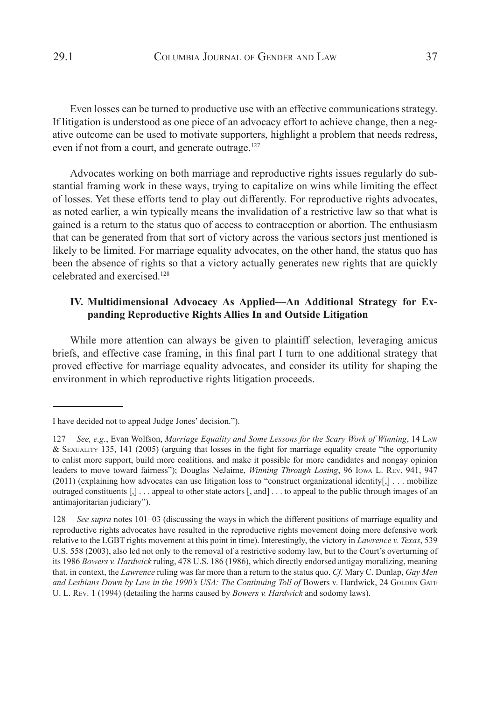Even losses can be turned to productive use with an effective communications strategy. If litigation is understood as one piece of an advocacy effort to achieve change, then a negative outcome can be used to motivate supporters, highlight a problem that needs redress, even if not from a court, and generate outrage.<sup>127</sup>

Advocates working on both marriage and reproductive rights issues regularly do substantial framing work in these ways, trying to capitalize on wins while limiting the effect of losses. Yet these efforts tend to play out differently. For reproductive rights advocates, as noted earlier, a win typically means the invalidation of a restrictive law so that what is gained is a return to the status quo of access to contraception or abortion. The enthusiasm that can be generated from that sort of victory across the various sectors just mentioned is likely to be limited. For marriage equality advocates, on the other hand, the status quo has been the absence of rights so that a victory actually generates new rights that are quickly celebrated and exercised.<sup>128</sup>

# **IV. Multidimensional Advocacy As Applied—An Additional Strategy for Expanding Reproductive Rights Allies In and Outside Litigation**

While more attention can always be given to plaintiff selection, leveraging amicus briefs, and effective case framing, in this final part I turn to one additional strategy that proved effective for marriage equality advocates, and consider its utility for shaping the environment in which reproductive rights litigation proceeds.

I have decided not to appeal Judge Jones' decision.").

<sup>127</sup> *See, e.g.*, Evan Wolfson, *Marriage Equality and Some Lessons for the Scary Work of Winning*, 14 Law & Sexuality 135, 141 (2005) (arguing that losses in the fight for marriage equality create "the opportunity to enlist more support, build more coalitions, and make it possible for more candidates and nongay opinion leaders to move toward fairness"); Douglas NeJaime, *Winning Through Losing*, 96 Iowa L. Rev. 941, 947 (2011) (explaining how advocates can use litigation loss to "construct organizational identity[,] . . . mobilize outraged constituents [,] . . . appeal to other state actors [, and] . . . to appeal to the public through images of an antimajoritarian judiciary").

<sup>128</sup> *See supra* notes 101–03 (discussing the ways in which the different positions of marriage equality and reproductive rights advocates have resulted in the reproductive rights movement doing more defensive work relative to the LGBT rights movement at this point in time). Interestingly, the victory in *Lawrence v. Texas*, 539 U.S. 558 (2003), also led not only to the removal of a restrictive sodomy law, but to the Court's overturning of its 1986 *Bowers v. Hardwick* ruling, 478 U.S. 186 (1986), which directly endorsed antigay moralizing, meaning that, in context, the *Lawrence* ruling was far more than a return to the status quo. *Cf.* Mary C. Dunlap, *Gay Men*  and Lesbians Down by Law in the 1990's USA: The Continuing Toll of Bowers v. Hardwick, 24 GOLDEN GATE U. L. Rev. 1 (1994) (detailing the harms caused by *Bowers v. Hardwick* and sodomy laws).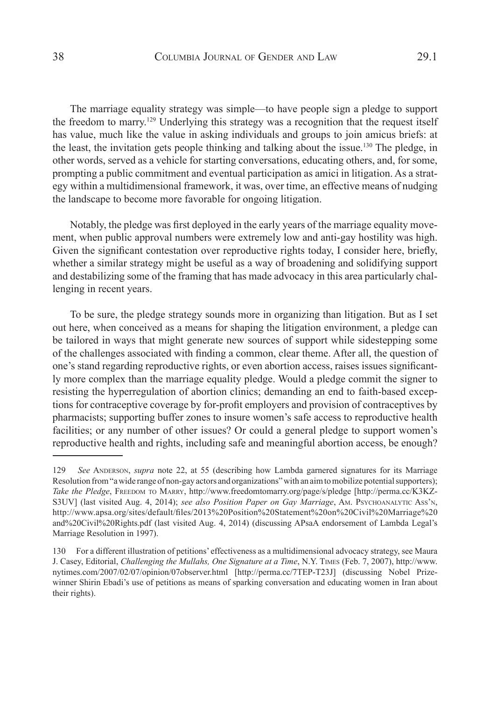The marriage equality strategy was simple—to have people sign a pledge to support the freedom to marry.<sup>129</sup> Underlying this strategy was a recognition that the request itself has value, much like the value in asking individuals and groups to join amicus briefs: at the least, the invitation gets people thinking and talking about the issue.<sup>130</sup> The pledge, in other words, served as a vehicle for starting conversations, educating others, and, for some, prompting a public commitment and eventual participation as amici in litigation. As a strategy within a multidimensional framework, it was, over time, an effective means of nudging the landscape to become more favorable for ongoing litigation.

Notably, the pledge was first deployed in the early years of the marriage equality movement, when public approval numbers were extremely low and anti-gay hostility was high. Given the significant contestation over reproductive rights today, I consider here, briefly, whether a similar strategy might be useful as a way of broadening and solidifying support and destabilizing some of the framing that has made advocacy in this area particularly challenging in recent years.

To be sure, the pledge strategy sounds more in organizing than litigation. But as I set out here, when conceived as a means for shaping the litigation environment, a pledge can be tailored in ways that might generate new sources of support while sidestepping some of the challenges associated with finding a common, clear theme. After all, the question of one's stand regarding reproductive rights, or even abortion access, raises issues significantly more complex than the marriage equality pledge. Would a pledge commit the signer to resisting the hyperregulation of abortion clinics; demanding an end to faith-based exceptions for contraceptive coverage by for-profit employers and provision of contraceptives by pharmacists; supporting buffer zones to insure women's safe access to reproductive health facilities; or any number of other issues? Or could a general pledge to support women's reproductive health and rights, including safe and meaningful abortion access, be enough?

<sup>129</sup> *See* Anderson, *supra* note 22, at 55 (describing how Lambda garnered signatures for its Marriage Resolution from "a wide range of non-gay actors and organizations" with an aim to mobilize potential supporters); Take the Pledge, FREEDOM TO MARRY, http://www.freedomtomarry.org/page/s/pledge [http://perma.cc/K3KZ-S3UV] (last visited Aug. 4, 2014); *see also Position Paper on Gay Marriage*, Am. Psychoanalytic Ass'n, http://www.apsa.org/sites/default/files/2013%20Position%20Statement%20on%20Civil%20Marriage%20 and%20Civil%20Rights.pdf (last visited Aug. 4, 2014) (discussing APsaA endorsement of Lambda Legal's Marriage Resolution in 1997).

<sup>130</sup> For a different illustration of petitions' effectiveness as a multidimensional advocacy strategy, see Maura J. Casey, Editorial, *Challenging the Mullahs, One Signature at a Time*, N.Y. Times (Feb. 7, 2007), http://www. nytimes.com/2007/02/07/opinion/07observer.html [http://perma.cc/7TEP-T23J] (discussing Nobel Prizewinner Shirin Ebadi's use of petitions as means of sparking conversation and educating women in Iran about their rights).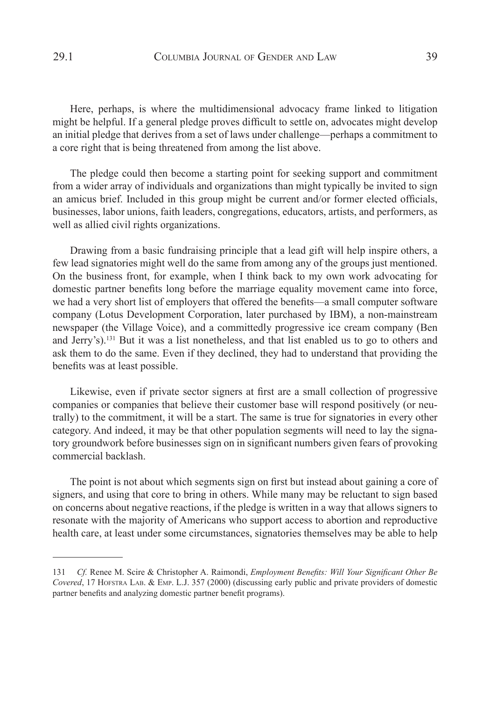Here, perhaps, is where the multidimensional advocacy frame linked to litigation might be helpful. If a general pledge proves difficult to settle on, advocates might develop an initial pledge that derives from a set of laws under challenge—perhaps a commitment to a core right that is being threatened from among the list above.

The pledge could then become a starting point for seeking support and commitment from a wider array of individuals and organizations than might typically be invited to sign an amicus brief. Included in this group might be current and/or former elected officials, businesses, labor unions, faith leaders, congregations, educators, artists, and performers, as well as allied civil rights organizations.

Drawing from a basic fundraising principle that a lead gift will help inspire others, a few lead signatories might well do the same from among any of the groups just mentioned. On the business front, for example, when I think back to my own work advocating for domestic partner benefits long before the marriage equality movement came into force, we had a very short list of employers that offered the benefits—a small computer software company (Lotus Development Corporation, later purchased by IBM), a non-mainstream newspaper (the Village Voice), and a committedly progressive ice cream company (Ben and Jerry's).<sup>131</sup> But it was a list nonetheless, and that list enabled us to go to others and ask them to do the same. Even if they declined, they had to understand that providing the benefits was at least possible.

Likewise, even if private sector signers at first are a small collection of progressive companies or companies that believe their customer base will respond positively (or neutrally) to the commitment, it will be a start. The same is true for signatories in every other category. And indeed, it may be that other population segments will need to lay the signatory groundwork before businesses sign on in significant numbers given fears of provoking commercial backlash.

The point is not about which segments sign on first but instead about gaining a core of signers, and using that core to bring in others. While many may be reluctant to sign based on concerns about negative reactions, if the pledge is written in a way that allows signers to resonate with the majority of Americans who support access to abortion and reproductive health care, at least under some circumstances, signatories themselves may be able to help

<sup>131</sup> *Cf.* Renee M. Scire & Christopher A. Raimondi, *Employment Benefits: Will Your Significant Other Be Covered*, 17 Hofstra Lab. & Emp. L.J. 357 (2000) (discussing early public and private providers of domestic partner benefits and analyzing domestic partner benefit programs).